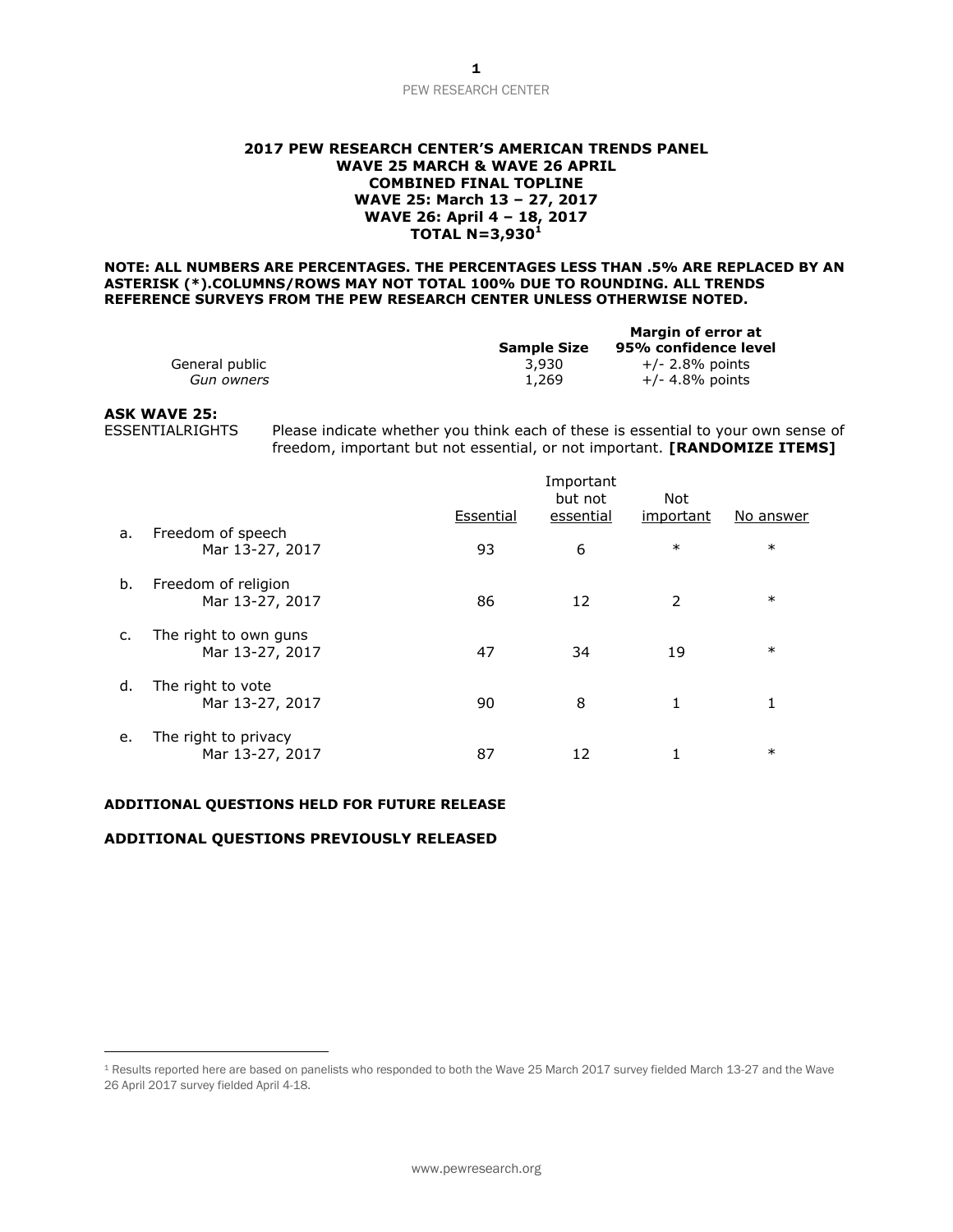#### **2017 PEW RESEARCH CENTER'S AMERICAN TRENDS PANEL WAVE 25 MARCH & WAVE 26 APRIL COMBINED FINAL TOPLINE WAVE 25: March 13 – 27, 2017 WAVE 26: April 4 – 18, 2017 TOTAL N=3,930<sup>1</sup>**

#### **NOTE: ALL NUMBERS ARE PERCENTAGES. THE PERCENTAGES LESS THAN .5% ARE REPLACED BY AN ASTERISK (\*).COLUMNS/ROWS MAY NOT TOTAL 100% DUE TO ROUNDING. ALL TRENDS REFERENCE SURVEYS FROM THE PEW RESEARCH CENTER UNLESS OTHERWISE NOTED.**

|                |                    | Margin of error at   |
|----------------|--------------------|----------------------|
|                | <b>Sample Size</b> | 95% confidence level |
| General public | 3.930              | $+/- 2.8\%$ points   |
| Gun owners     | 1,269              | $+/- 4.8%$ points    |

## **ASK WAVE 25:**

 $\overline{a}$ 

ESSENTIALRIGHTS Please indicate whether you think each of these is essential to your own sense of freedom, important but not essential, or not important. **[RANDOMIZE ITEMS]**

|    |                                          |           | Important<br>but not | Not       |           |
|----|------------------------------------------|-----------|----------------------|-----------|-----------|
|    |                                          | Essential | essential            | important | No answer |
| a. | Freedom of speech<br>Mar 13-27, 2017     | 93        | 6                    | $\ast$    | $\ast$    |
| b. | Freedom of religion<br>Mar 13-27, 2017   | 86        | 12                   | 2         | $\ast$    |
| c. | The right to own guns<br>Mar 13-27, 2017 | 47        | 34                   | 19        | $\ast$    |
| d. | The right to vote<br>Mar 13-27, 2017     | 90        | 8                    | 1         | 1         |
| е. | The right to privacy<br>Mar 13-27, 2017  | 87        | 12                   |           | $\ast$    |

#### **ADDITIONAL QUESTIONS HELD FOR FUTURE RELEASE**

## **ADDITIONAL QUESTIONS PREVIOUSLY RELEASED**

<sup>1</sup> Results reported here are based on panelists who responded to both the Wave 25 March 2017 survey fielded March 13-27 and the Wave 26 April 2017 survey fielded April 4-18.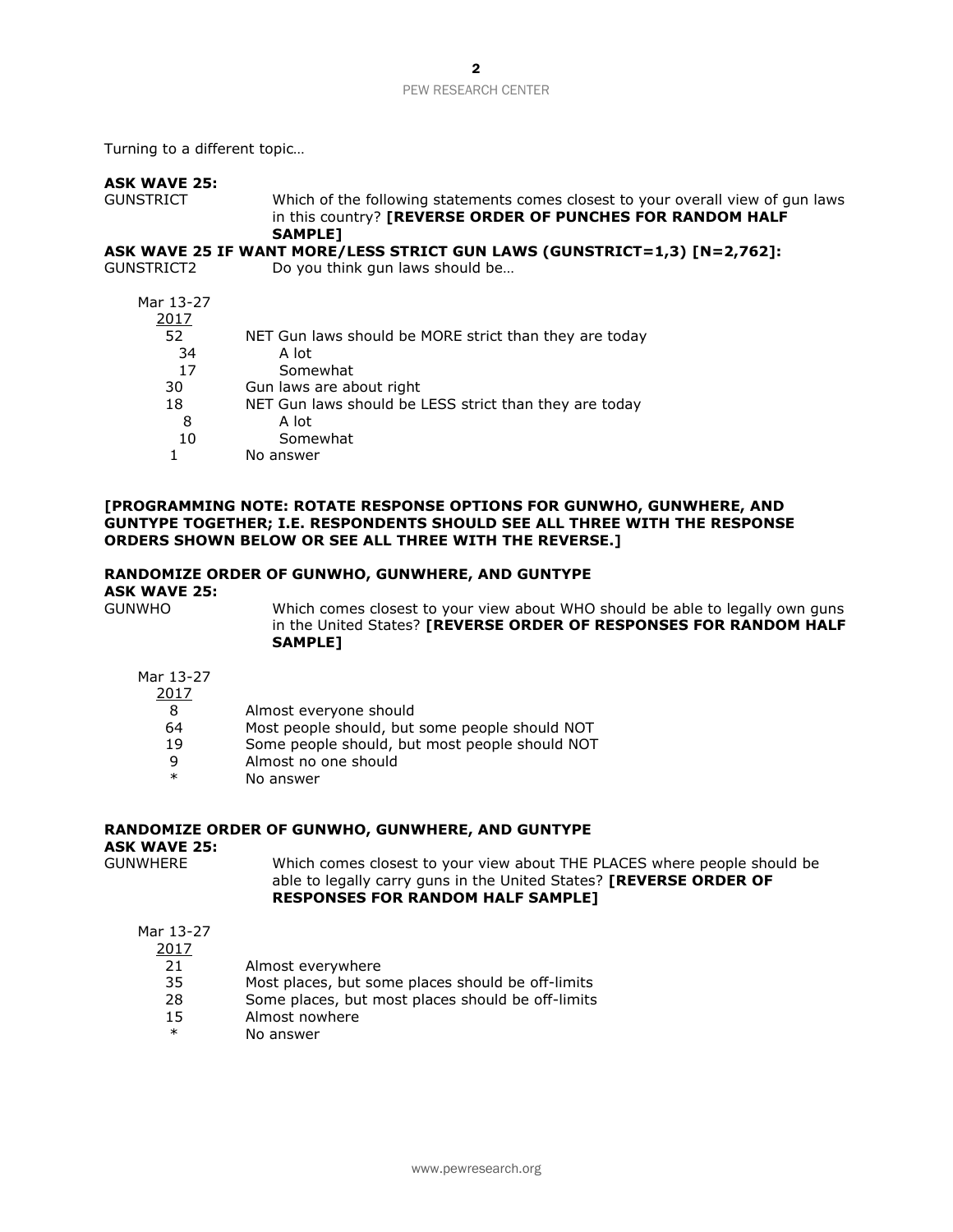Turning to a different topic…

## **ASK WAVE 25:**

GUNSTRICT Which of the following statements comes closest to your overall view of gun laws in this country? **[REVERSE ORDER OF PUNCHES FOR RANDOM HALF SAMPLE]**

## **ASK WAVE 25 IF WANT MORE/LESS STRICT GUN LAWS (GUNSTRICT=1,3) [N=2,762]:**

GUNSTRICT2 Do you think gun laws should be…

| Mar 13-27 |                                                        |
|-----------|--------------------------------------------------------|
| 2017      |                                                        |
| 52        | NET Gun laws should be MORE strict than they are today |
| 34        | A lot                                                  |
| 17        | Somewhat                                               |
| 30        | Gun laws are about right                               |
| 18        | NET Gun laws should be LESS strict than they are today |
| 8         | A lot                                                  |
| 10        | Somewhat                                               |
|           | No answer                                              |

## **[PROGRAMMING NOTE: ROTATE RESPONSE OPTIONS FOR GUNWHO, GUNWHERE, AND GUNTYPE TOGETHER; I.E. RESPONDENTS SHOULD SEE ALL THREE WITH THE RESPONSE ORDERS SHOWN BELOW OR SEE ALL THREE WITH THE REVERSE.]**

#### **RANDOMIZE ORDER OF GUNWHO, GUNWHERE, AND GUNTYPE**

**ASK WAVE 25:**

GUNWHO Which comes closest to your view about WHO should be able to legally own guns in the United States? **[REVERSE ORDER OF RESPONSES FOR RANDOM HALF SAMPLE]** 

## Mar 13-27

## 2017

- 8 Almost everyone should
- 64 Most people should, but some people should NOT
- 19 Some people should, but most people should NOT
- 9 Almost no one should
- No answer

## **RANDOMIZE ORDER OF GUNWHO, GUNWHERE, AND GUNTYPE**

**ASK WAVE 25:**

Which comes closest to your view about THE PLACES where people should be able to legally carry guns in the United States? **[REVERSE ORDER OF RESPONSES FOR RANDOM HALF SAMPLE]**

Mar 13-27

2017

- 21 Almost everywhere
- 35 Most places, but some places should be off-limits
- 28 Some places, but most places should be off-limits
- 15 Almost nowhere
- \* No answer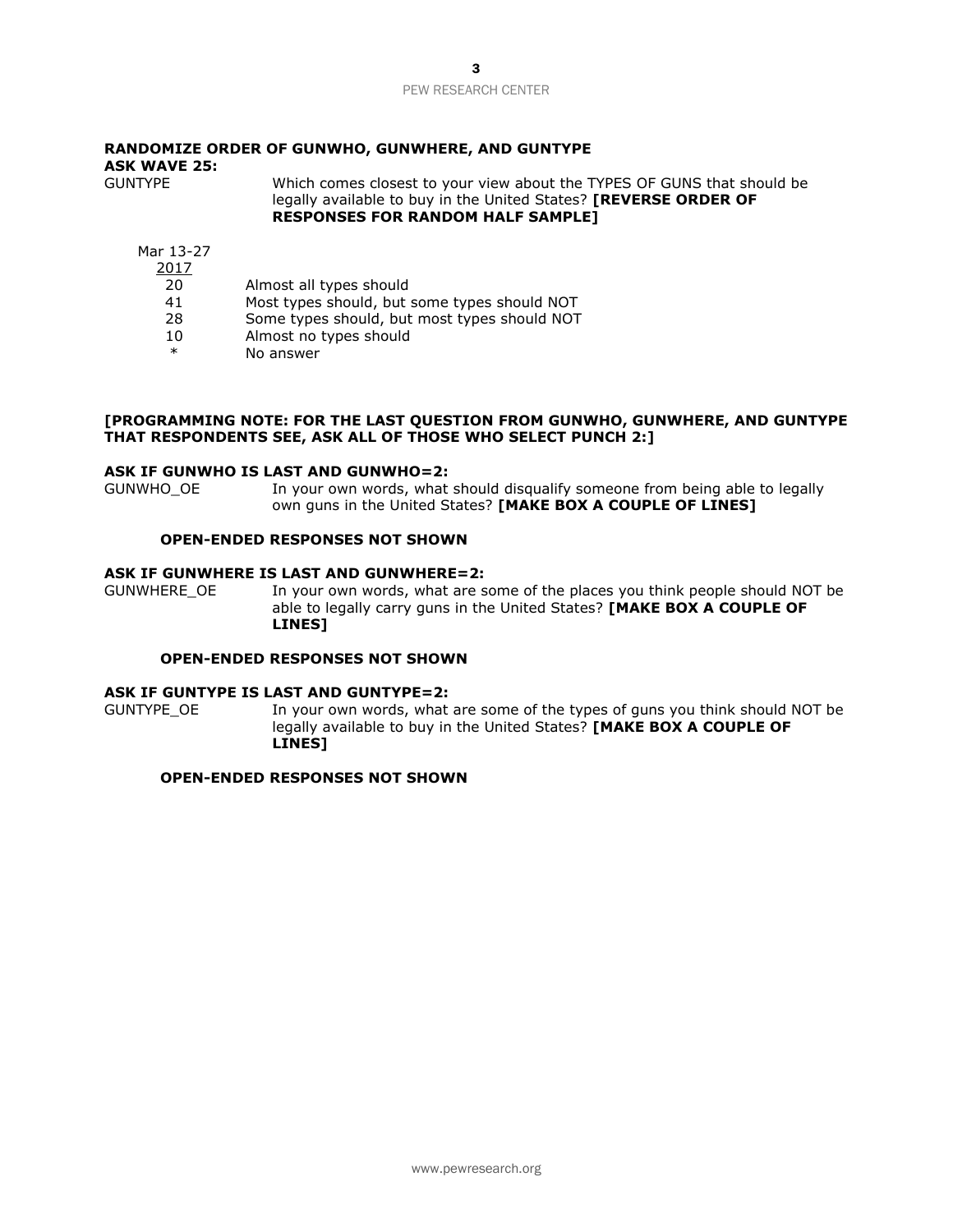## **RANDOMIZE ORDER OF GUNWHO, GUNWHERE, AND GUNTYPE ASK WAVE 25:** Which comes closest to your view about the TYPES OF GUNS that should be

legally available to buy in the United States? **[REVERSE ORDER OF RESPONSES FOR RANDOM HALF SAMPLE]**

- Mar 13-27 2017
	- 20 Almost all types should
	-
	- 41 Most types should, but some types should NOT<br>28 Some types should, but most types should NOT Some types should, but most types should NOT
	- 10 Almost no types should
	- \* No answer

### **[PROGRAMMING NOTE: FOR THE LAST QUESTION FROM GUNWHO, GUNWHERE, AND GUNTYPE THAT RESPONDENTS SEE, ASK ALL OF THOSE WHO SELECT PUNCH 2:]**

#### **ASK IF GUNWHO IS LAST AND GUNWHO=2:**

GUNWHO OE In your own words, what should disqualify someone from being able to legally own guns in the United States? **[MAKE BOX A COUPLE OF LINES]**

## **OPEN-ENDED RESPONSES NOT SHOWN**

## **ASK IF GUNWHERE IS LAST AND GUNWHERE=2:**

GUNWHERE\_OE In your own words, what are some of the places you think people should NOT be able to legally carry guns in the United States? **[MAKE BOX A COUPLE OF LINES]**

## **OPEN-ENDED RESPONSES NOT SHOWN**

## **ASK IF GUNTYPE IS LAST AND GUNTYPE=2:**

GUNTYPE\_OE In your own words, what are some of the types of guns you think should NOT be legally available to buy in the United States? **[MAKE BOX A COUPLE OF LINES]**

#### **OPEN-ENDED RESPONSES NOT SHOWN**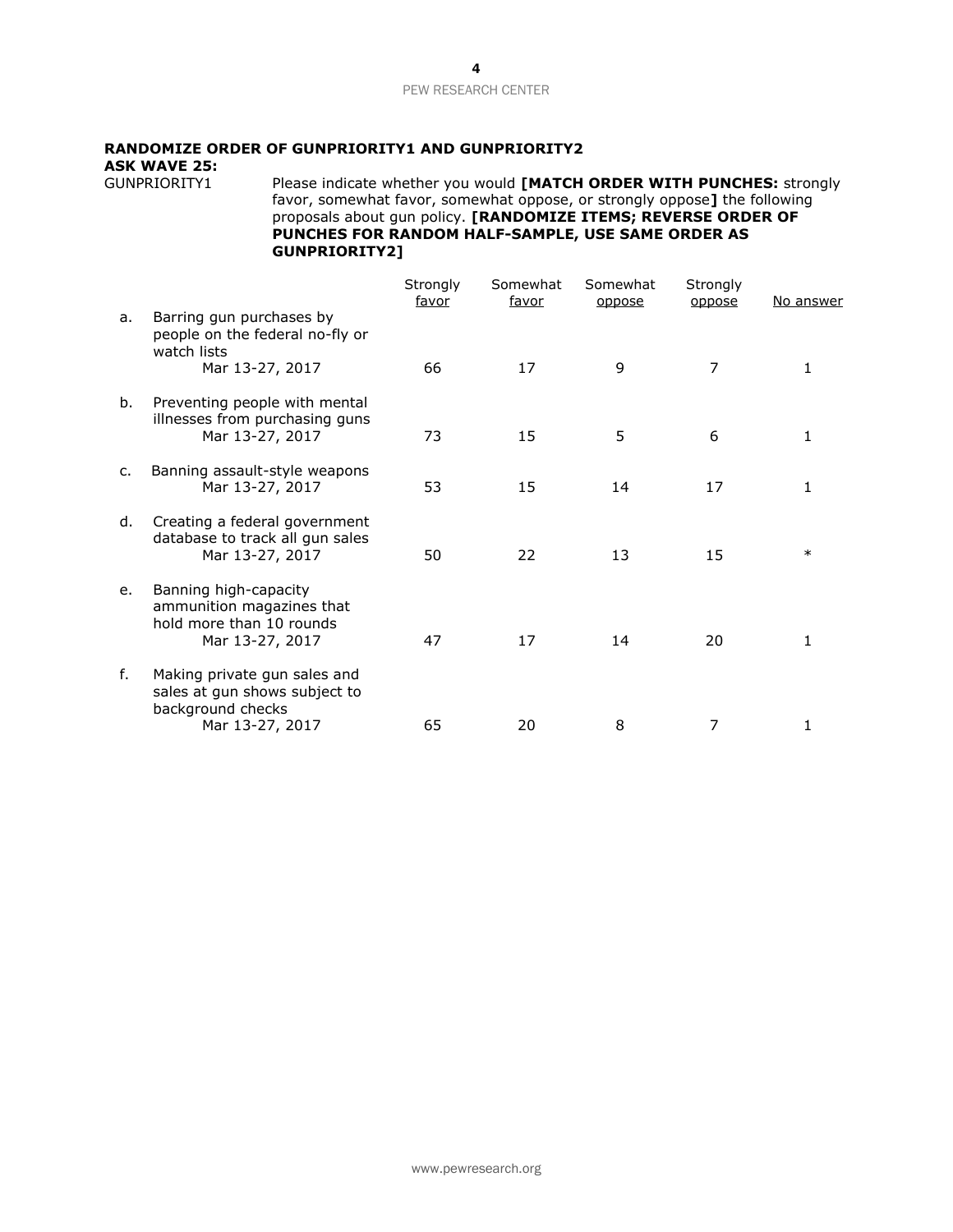## **RANDOMIZE ORDER OF GUNPRIORITY1 AND GUNPRIORITY2**

**ASK WAVE 25:**

Please indicate whether you would **[MATCH ORDER WITH PUNCHES:** strongly favor, somewhat favor, somewhat oppose, or strongly oppose**]** the following proposals about gun policy. **[RANDOMIZE ITEMS; REVERSE ORDER OF PUNCHES FOR RANDOM HALF-SAMPLE, USE SAME ORDER AS GUNPRIORITY2]**

|    |                                                                                                       | Strongly<br>favor | Somewhat<br><u>favor</u> | Somewhat<br>oppose | Strongly<br>oppose | No answer    |
|----|-------------------------------------------------------------------------------------------------------|-------------------|--------------------------|--------------------|--------------------|--------------|
| a. | Barring gun purchases by<br>people on the federal no-fly or<br>watch lists<br>Mar 13-27, 2017         | 66                | 17                       | 9                  | $\overline{7}$     |              |
| b. | Preventing people with mental<br>illnesses from purchasing guns<br>Mar 13-27, 2017                    | 73                | 15                       | 5                  | 6                  | 1            |
| c. | Banning assault-style weapons<br>Mar 13-27, 2017                                                      | 53                | 15                       | 14                 | 17                 | $\mathbf{1}$ |
| d. | Creating a federal government<br>database to track all gun sales<br>Mar 13-27, 2017                   | 50                | 22                       | 13                 | 15                 | $\ast$       |
| e. | Banning high-capacity<br>ammunition magazines that<br>hold more than 10 rounds<br>Mar 13-27, 2017     | 47                | 17                       | 14                 | 20                 |              |
| f. | Making private gun sales and<br>sales at gun shows subject to<br>background checks<br>Mar 13-27, 2017 | 65                | 20                       | 8                  | 7                  |              |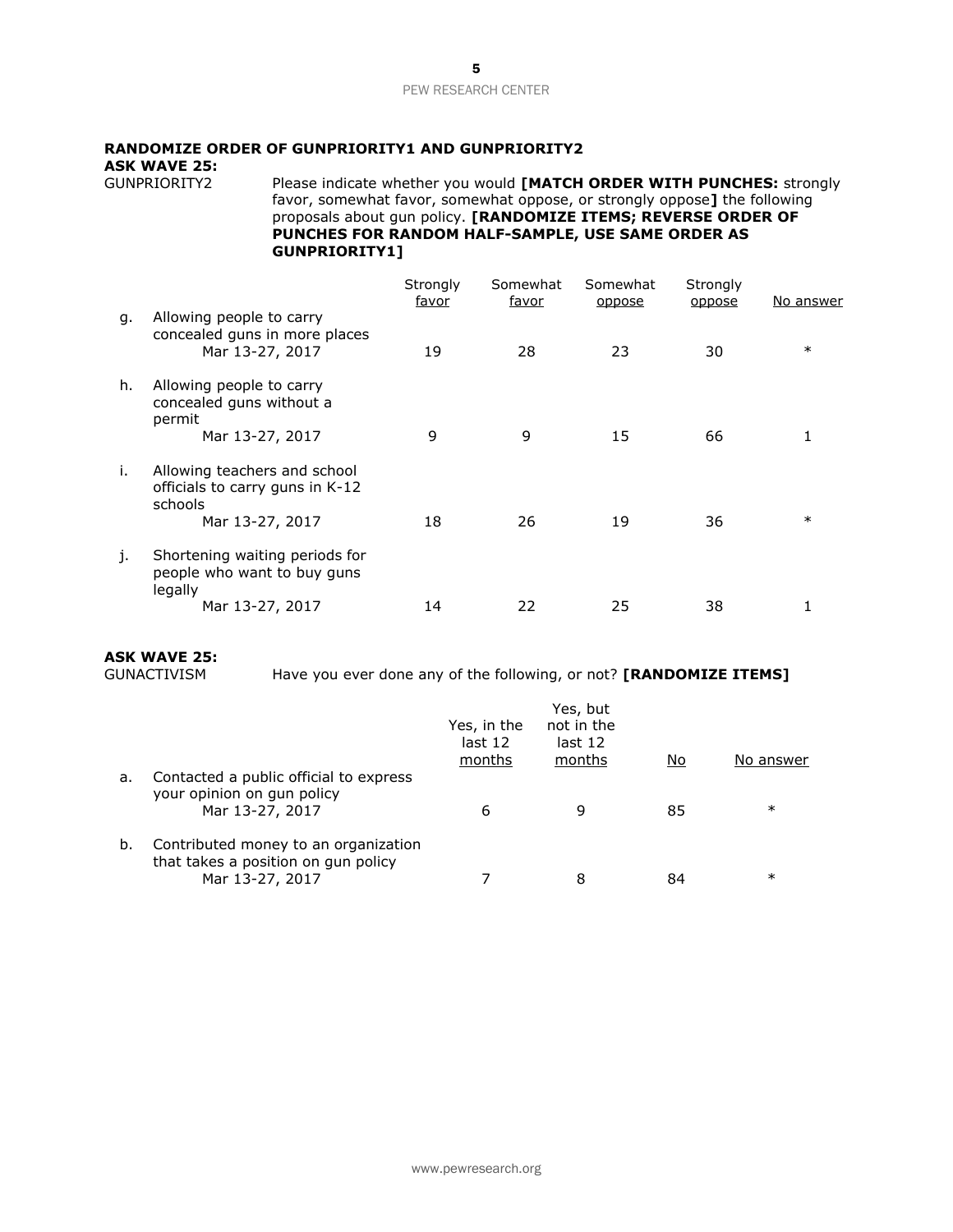## **RANDOMIZE ORDER OF GUNPRIORITY1 AND GUNPRIORITY2**

**ASK WAVE 25:**

Please indicate whether you would **[MATCH ORDER WITH PUNCHES:** strongly favor, somewhat favor, somewhat oppose, or strongly oppose**]** the following proposals about gun policy. **[RANDOMIZE ITEMS; REVERSE ORDER OF PUNCHES FOR RANDOM HALF-SAMPLE, USE SAME ORDER AS GUNPRIORITY1]**

|    |                                                                              | Strongly<br>favor | Somewhat<br><u>favor</u> | Somewhat<br>oppose | Strongly<br>oppose | No answer |
|----|------------------------------------------------------------------------------|-------------------|--------------------------|--------------------|--------------------|-----------|
| q. | Allowing people to carry<br>concealed guns in more places<br>Mar 13-27, 2017 | 19                | 28                       | 23                 | 30                 | $\ast$    |
| h. | Allowing people to carry<br>concealed guns without a<br>permit               |                   |                          |                    |                    |           |
|    | Mar 13-27, 2017                                                              | 9                 | 9                        | 15                 | 66                 |           |
| i. | Allowing teachers and school<br>officials to carry guns in K-12<br>schools   |                   |                          |                    |                    |           |
|    | Mar 13-27, 2017                                                              | 18                | 26                       | 19                 | 36                 | $\ast$    |
| j. | Shortening waiting periods for<br>people who want to buy guns<br>legally     |                   |                          |                    |                    |           |
|    | Mar 13-27, 2017                                                              | 14                | 22                       | 25                 | 38                 |           |

## **ASK WAVE 25:**

Have you ever done any of the following, or not? **[RANDOMIZE ITEMS]** 

|    |                                                                                                | Yes, in the<br>last 12<br>months | Yes, but<br>not in the<br>last 12<br>months | No | No answer |
|----|------------------------------------------------------------------------------------------------|----------------------------------|---------------------------------------------|----|-----------|
| а. | Contacted a public official to express<br>your opinion on gun policy<br>Mar 13-27, 2017        | 6                                | 9                                           | 85 | $\ast$    |
| b. | Contributed money to an organization<br>that takes a position on gun policy<br>Mar 13-27, 2017 |                                  | 8                                           | 84 | $\ast$    |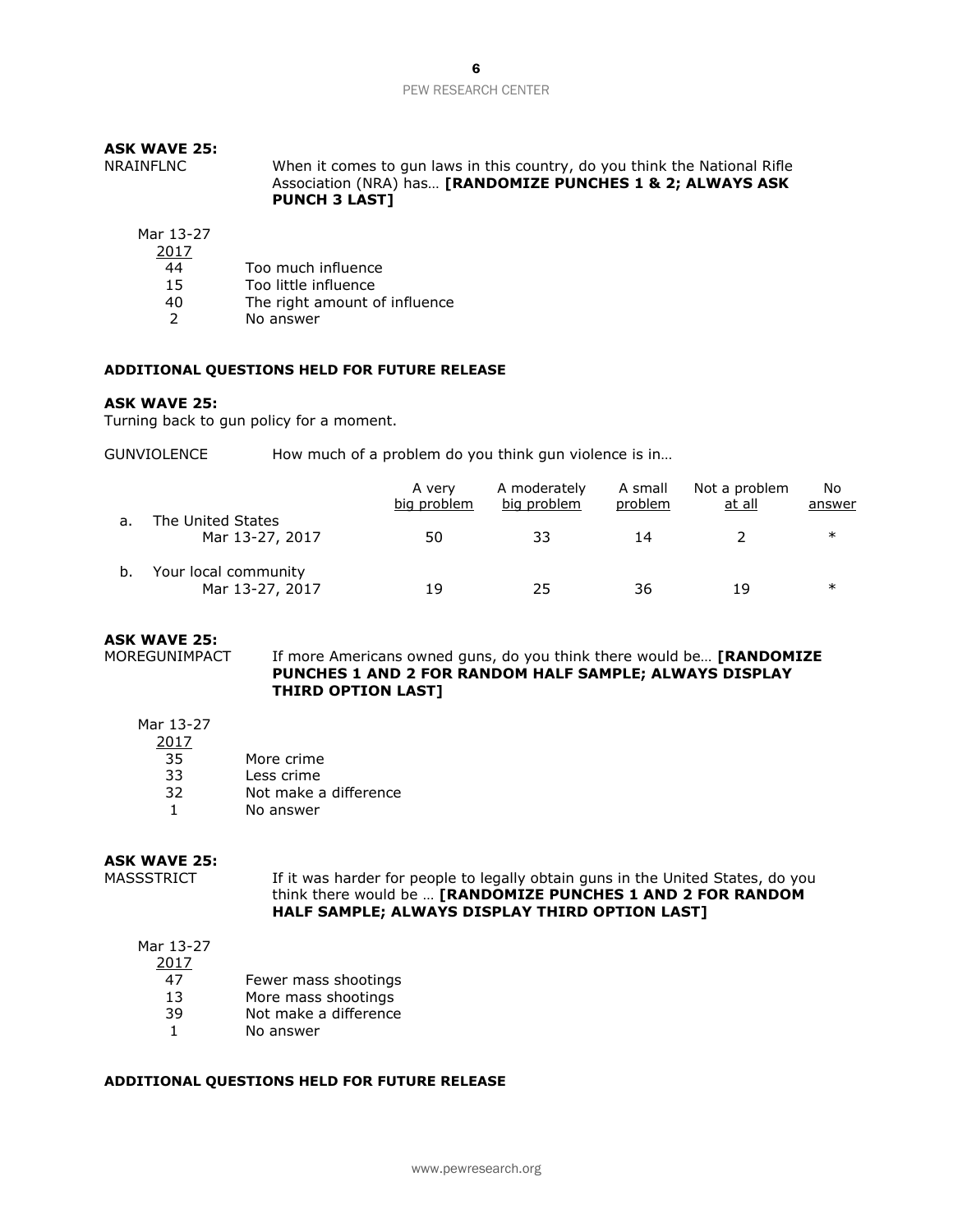| <b>ASK WAVE 25:</b><br>NRAINFLNC | When it comes to gun laws in this country, do you think the National Rifle<br>Association (NRA) has [RANDOMIZE PUNCHES 1 & 2; ALWAYS ASK<br><b>PUNCH 3 LAST]</b> |
|----------------------------------|------------------------------------------------------------------------------------------------------------------------------------------------------------------|
| Mar 13-27<br>2017                |                                                                                                                                                                  |

2017

- 44 Too much influence
- 15 Too little influence
- 40 The right amount of influence<br>2 No answer
- No answer

#### **ADDITIONAL QUESTIONS HELD FOR FUTURE RELEASE**

#### **ASK WAVE 25:**

Turning back to gun policy for a moment.

GUNVIOLENCE How much of a problem do you think gun violence is in...

|    |                                         | A verv<br>big problem | A moderately<br>big problem | A small<br>problem | Not a problem<br>at all | No<br>answer |
|----|-----------------------------------------|-----------------------|-----------------------------|--------------------|-------------------------|--------------|
| a. | The United States<br>Mar 13-27, 2017    | 50                    | 33                          | 14                 |                         | $\ast$       |
| b. | Your local community<br>Mar 13-27, 2017 | 19                    | 25                          | 36                 | 19                      | ∗            |

## **ASK WAVE 25:**

MOREGUNIMPACT If more Americans owned guns, do you think there would be… **[RANDOMIZE PUNCHES 1 AND 2 FOR RANDOM HALF SAMPLE; ALWAYS DISPLAY THIRD OPTION LAST]**

- Mar 13-27
	- 2017
	- 35 More crime
	- 33 Less crime
	- 32 Not make a difference
	- 1 No answer

## **ASK WAVE 25:**

MASSSTRICT If it was harder for people to legally obtain guns in the United States, do you think there would be … **[RANDOMIZE PUNCHES 1 AND 2 FOR RANDOM HALF SAMPLE; ALWAYS DISPLAY THIRD OPTION LAST]**

## Mar 13-27

2017

- 47 Fewer mass shootings
- 13 More mass shootings
- 39 Not make a difference
- 1 No answer

## **ADDITIONAL QUESTIONS HELD FOR FUTURE RELEASE**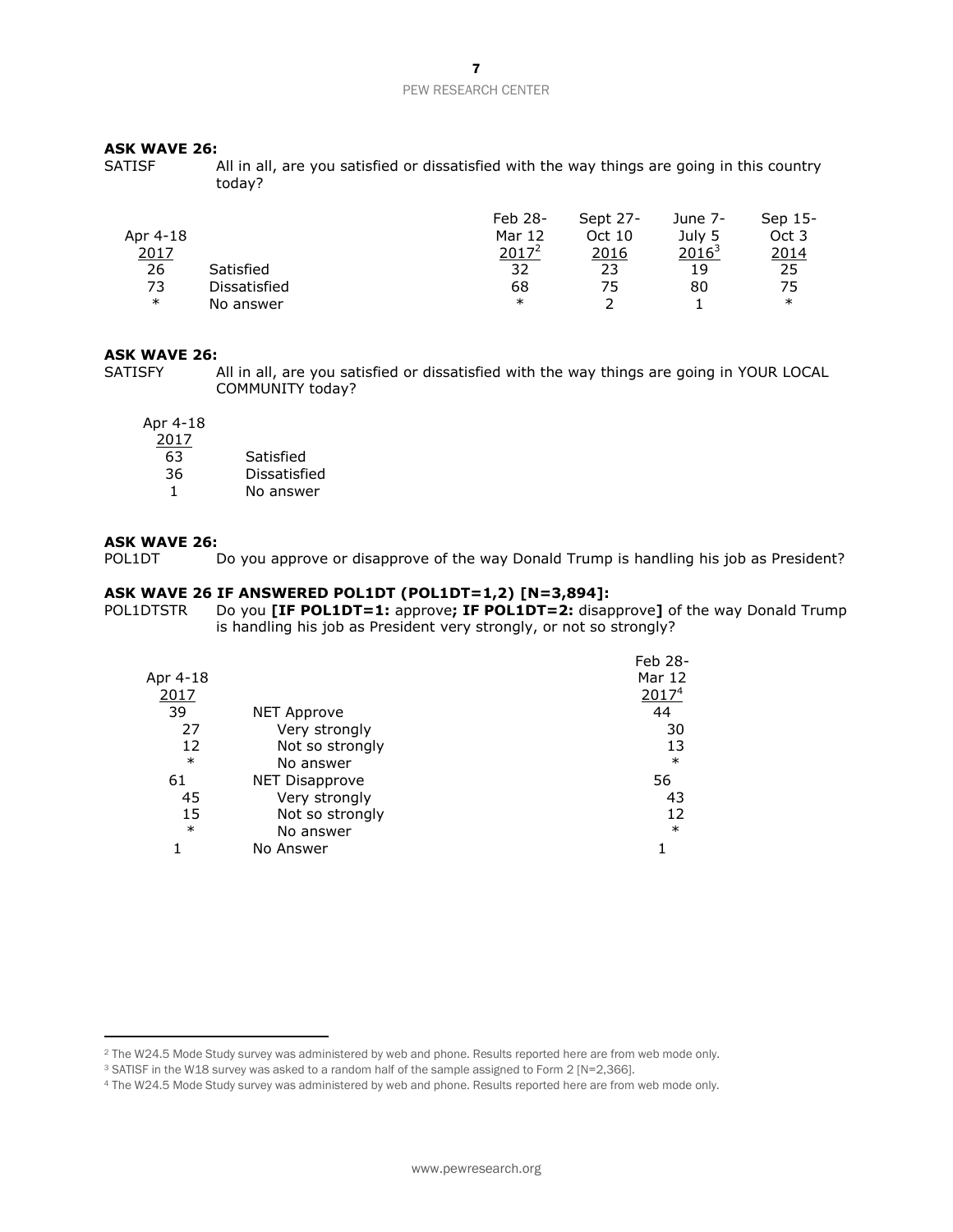#### **ASK WAVE 26:**

SATISF All in all, are you satisfied or dissatisfied with the way things are going in this country today?

|          |              | Feb 28-  | Sept 27- | June 7-  | Sep 15- |
|----------|--------------|----------|----------|----------|---------|
| Apr 4-18 |              | Mar 12   | Oct 10   | July 5   | Oct 3   |
| 2017     |              | $2017^2$ | 2016     | $2016^3$ | 2014    |
| 26       | Satisfied    | 32       | 23       | 19       | 25      |
| 73       | Dissatisfied | 68       | 75       | 80       | 75      |
| $\ast$   | No answer    | ∗        |          |          | $\ast$  |

#### **ASK WAVE 26:**

SATISFY All in all, are you satisfied or dissatisfied with the way things are going in YOUR LOCAL COMMUNITY today?

Apr 4-18

| 2017 |              |
|------|--------------|
| 63   | Satisfied    |
| 36   | Dissatisfied |
|      | No answer    |

#### **ASK WAVE 26:**

 $\overline{a}$ 

POL1DT Do you approve or disapprove of the way Donald Trump is handling his job as President?

## **ASK WAVE 26 IF ANSWERED POL1DT (POL1DT=1,2) [N=3,894]:**

POL1DTSTR Do you **[IF POL1DT=1:** approve**; IF POL1DT=2:** disapprove**]** of the way Donald Trump is handling his job as President very strongly, or not so strongly?

|          |                       | Feb 28-           |
|----------|-----------------------|-------------------|
| Apr 4-18 |                       | Mar 12            |
| 2017     |                       | 2017 <sup>4</sup> |
| 39       | <b>NET Approve</b>    | 44                |
| 27       | Very strongly         | 30                |
| 12       | Not so strongly       | 13                |
| $\ast$   | No answer             | $\ast$            |
| 61       | <b>NET Disapprove</b> | 56                |
| 45       | Very strongly         | 43                |
| 15       | Not so strongly       | 12                |
| $\ast$   | No answer             | $\ast$            |
|          | No Answer             |                   |
|          |                       |                   |

<sup>2</sup> The W24.5 Mode Study survey was administered by web and phone. Results reported here are from web mode only.

<sup>&</sup>lt;sup>3</sup> SATISF in the W18 survey was asked to a random half of the sample assigned to Form 2 [N=2,366].

<sup>4</sup> The W24.5 Mode Study survey was administered by web and phone. Results reported here are from web mode only.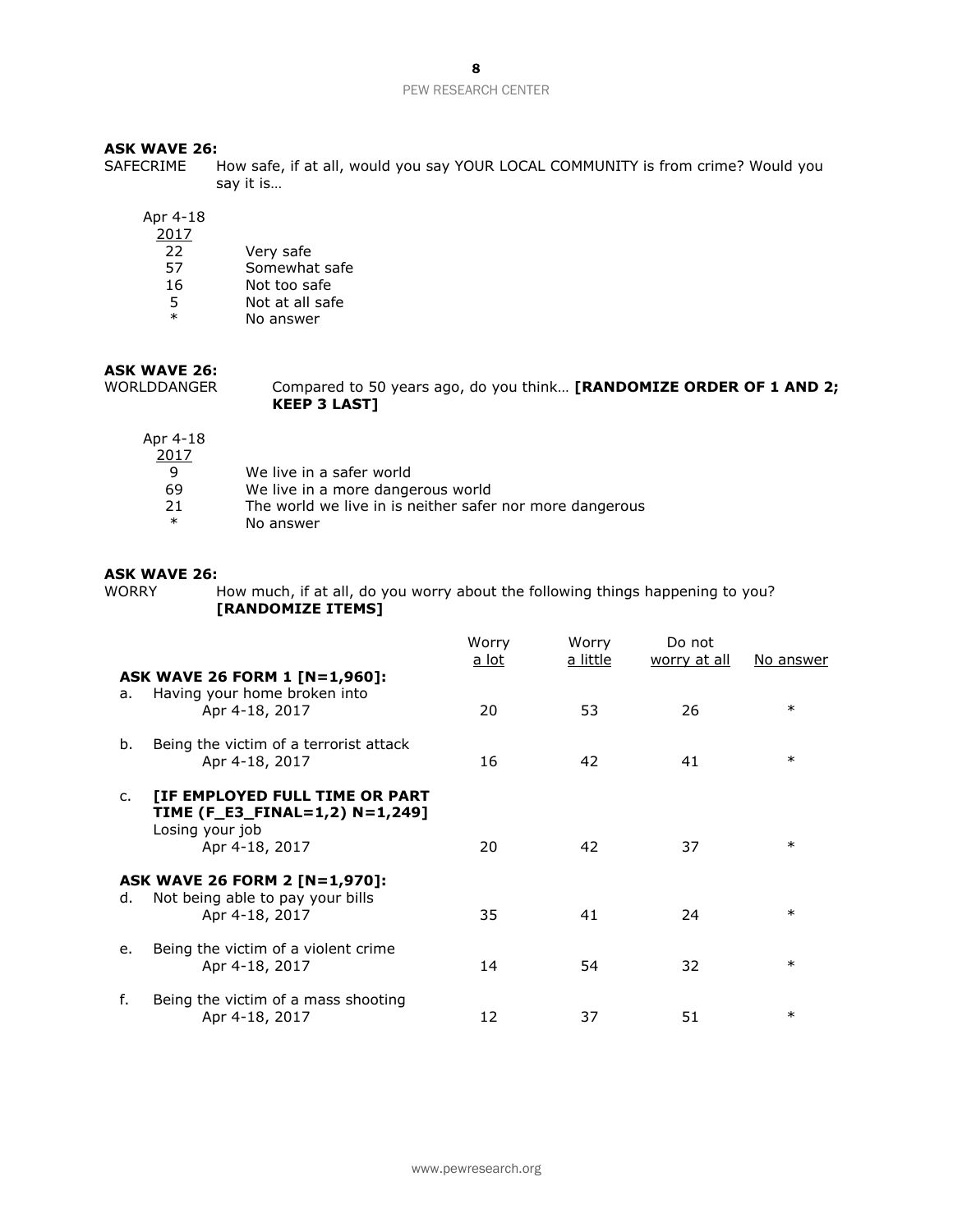8

#### PEW RESEARCH CENTER

#### **ASK WAVE 26:**

SAFECRIME How safe, if at all, would you say YOUR LOCAL COMMUNITY is from crime? Would you say it is…

Apr 4-18

- 2017 22 Very safe
- 57 Somewhat safe
- 16 Not too safe
- 5 Not at all safe<br>  $*$  No answer
- No answer

## **ASK WAVE 26:**

WORLDDANGER Compared to 50 years ago, do you think... **[RANDOMIZE ORDER OF 1 AND 2; KEEP 3 LAST]**

- Apr 4-18 2017 9 We live in a safer world<br>69 We live in a more dange We live in a more dangerous world 21 The world we live in is neither safer nor more dangerous<br>
No apswer
	- No answer

## **ASK WAVE 26:**

WORRY How much, if at all, do you worry about the following things happening to you? **[RANDOMIZE ITEMS]**

|                |                                                                                                       | Worry<br><u>a lot</u> | Worry<br>a little | Do not<br>worry at all | No answer |
|----------------|-------------------------------------------------------------------------------------------------------|-----------------------|-------------------|------------------------|-----------|
| a.             | ASK WAVE 26 FORM 1 [N=1,960]:<br>Having your home broken into<br>Apr 4-18, 2017                       | 20                    | 53                | 26                     | $\ast$    |
| b.             | Being the victim of a terrorist attack<br>Apr 4-18, 2017                                              | 16                    | 42                | 41                     | $\ast$    |
| $\mathsf{C}$ . | [IF EMPLOYED FULL TIME OR PART<br>TIME (F_E3_FINAL=1,2) N=1,249]<br>Losing your job<br>Apr 4-18, 2017 | 20                    | 42                | 37                     | $\ast$    |
| d.             | ASK WAVE 26 FORM 2 [N=1,970]:<br>Not being able to pay your bills<br>Apr 4-18, 2017                   | 35                    | 41                | 24                     | $\ast$    |
| e.             | Being the victim of a violent crime<br>Apr 4-18, 2017                                                 | 14                    | 54                | 32                     | $\ast$    |
| f.             | Being the victim of a mass shooting<br>Apr 4-18, 2017                                                 | 12                    | 37                | 51                     | $\ast$    |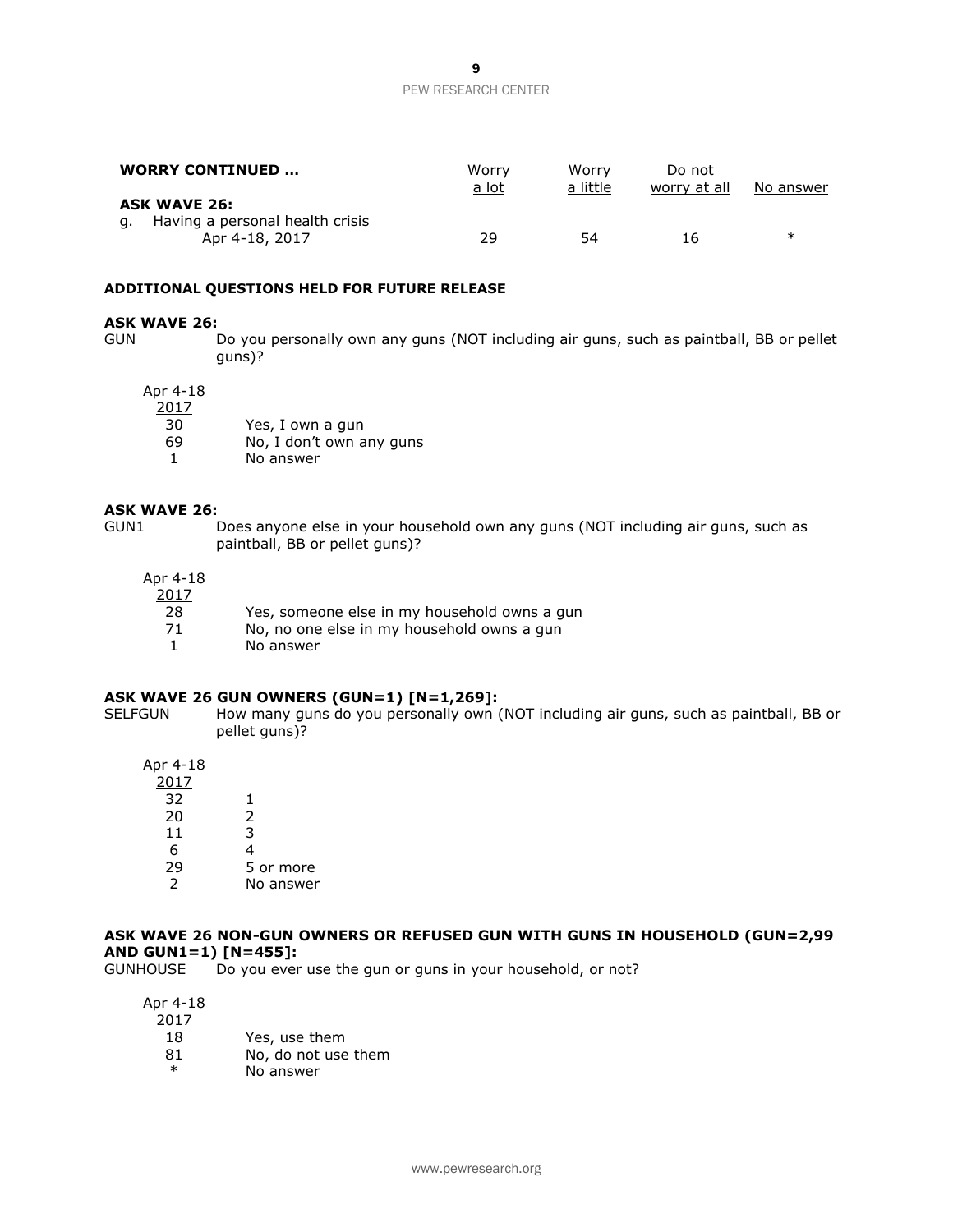| <b>WORRY CONTINUED </b>                                                     | Worry<br><u>a lot</u> | Worry<br>a little | Do not<br>worry at all | No answer |
|-----------------------------------------------------------------------------|-----------------------|-------------------|------------------------|-----------|
| <b>ASK WAVE 26:</b><br>g. Having a personal health crisis<br>Apr 4-18, 2017 | 29                    | 54                | 16.                    | ∗         |

#### **ADDITIONAL QUESTIONS HELD FOR FUTURE RELEASE**

#### **ASK WAVE 26:**

GUN Do you personally own any guns (NOT including air guns, such as paintball, BB or pellet guns)?

#### Apr 4-18

2017

| 30     | Yes, I own a gun                                              |
|--------|---------------------------------------------------------------|
| $\sim$ | $\mathbf{M}$ . The set of the second contract of $\mathbf{M}$ |

- 69 No, I don't own any guns
- 1 No answer

#### **ASK WAVE 26:**

GUN1 Does anyone else in your household own any guns (NOT including air guns, such as paintball, BB or pellet guns)?

Apr 4-18

| 2017 |                                              |
|------|----------------------------------------------|
| -28  | Yes, someone else in my household owns a gun |
| - 71 | No, no one else in my household owns a gun   |
|      | No answer                                    |

## **ASK WAVE 26 GUN OWNERS (GUN=1) [N=1,269]:**

SELFGUN How many guns do you personally own (NOT including air guns, such as paintball, BB or pellet guns)?

Apr 4-18

| 2017 |           |
|------|-----------|
| 32   | 1         |
| 20   | 2         |
| 11   | 3         |
| 6    | 4         |
| 29   | 5 or more |
|      | No answer |

### **ASK WAVE 26 NON-GUN OWNERS OR REFUSED GUN WITH GUNS IN HOUSEHOLD (GUN=2,99 AND GUN1=1) [N=455]:**

GUNHOUSE Do you ever use the gun or guns in your household, or not?

Apr 4-18 2017

| 18       | Yes, use them               |
|----------|-----------------------------|
| $\sim$ 1 | وعاط متمرد طمست بمال المالك |

- 81 No, do not use them
- \* No answer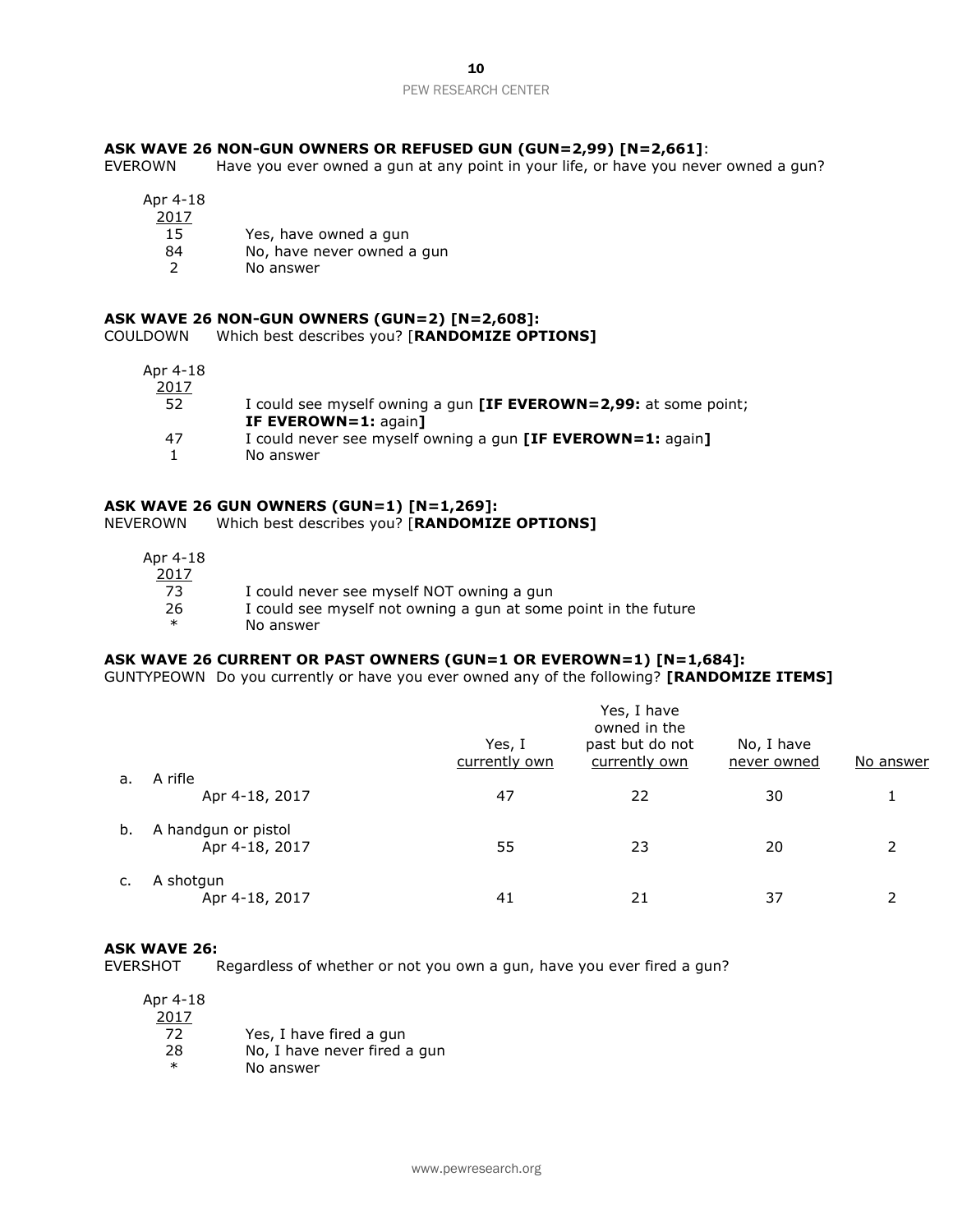## **ASK WAVE 26 NON-GUN OWNERS OR REFUSED GUN (GUN=2,99) [N=2,661]**:

EVEROWN Have you ever owned a gun at any point in your life, or have you never owned a gun?

| Apr 4-18 |                            |
|----------|----------------------------|
| 2017     |                            |
| 15       | Yes, have owned a gun      |
| 84       | No, have never owned a gun |
|          | No answer                  |
|          |                            |

### **ASK WAVE 26 NON-GUN OWNERS (GUN=2) [N=2,608]:** COULDOWN Which best describes you? [**RANDOMIZE OPTIONS]**

| Apr 4-18 |                                                                         |
|----------|-------------------------------------------------------------------------|
| 2017     |                                                                         |
| 52       | I could see myself owning a gun <b>[IF EVEROWN=2,99:</b> at some point; |
|          | IF EVEROWN=1: again]                                                    |
| 47       | I could never see myself owning a gun [IF EVEROWN=1: again]             |
|          | No answer                                                               |

## **ASK WAVE 26 GUN OWNERS (GUN=1) [N=1,269]:**

NEVEROWN Which best describes you? [**RANDOMIZE OPTIONS]**

| Apr 4-18<br>2017 |                                                                 |
|------------------|-----------------------------------------------------------------|
| 73               | I could never see myself NOT owning a gun                       |
| 26               | I could see myself not owning a gun at some point in the future |
| $\ast$           | No answer                                                       |

## **ASK WAVE 26 CURRENT OR PAST OWNERS (GUN=1 OR EVEROWN=1) [N=1,684]:**

GUNTYPEOWN Do you currently or have you ever owned any of the following? **[RANDOMIZE ITEMS]**

|    |                                       | Yes, I have<br>owned in the<br>past but do not<br>Yes, I<br>No, I have<br>currently own<br>currently own<br>never owned |    |    | No answer |  |
|----|---------------------------------------|-------------------------------------------------------------------------------------------------------------------------|----|----|-----------|--|
| а. | A rifle<br>Apr 4-18, 2017             | 47                                                                                                                      | 22 | 30 |           |  |
| b. | A handgun or pistol<br>Apr 4-18, 2017 | 55                                                                                                                      | 23 | 20 |           |  |
| c. | A shotgun<br>Apr 4-18, 2017           | 41                                                                                                                      | 21 | 37 |           |  |

#### **ASK WAVE 26:**

EVERSHOT Regardless of whether or not you own a gun, have you ever fired a gun?

| Apr 4-18 |                              |
|----------|------------------------------|
| 2017     |                              |
| 72.      | Yes, I have fired a gun      |
| 28       | No, I have never fired a gun |
| $\ast$   | No answer                    |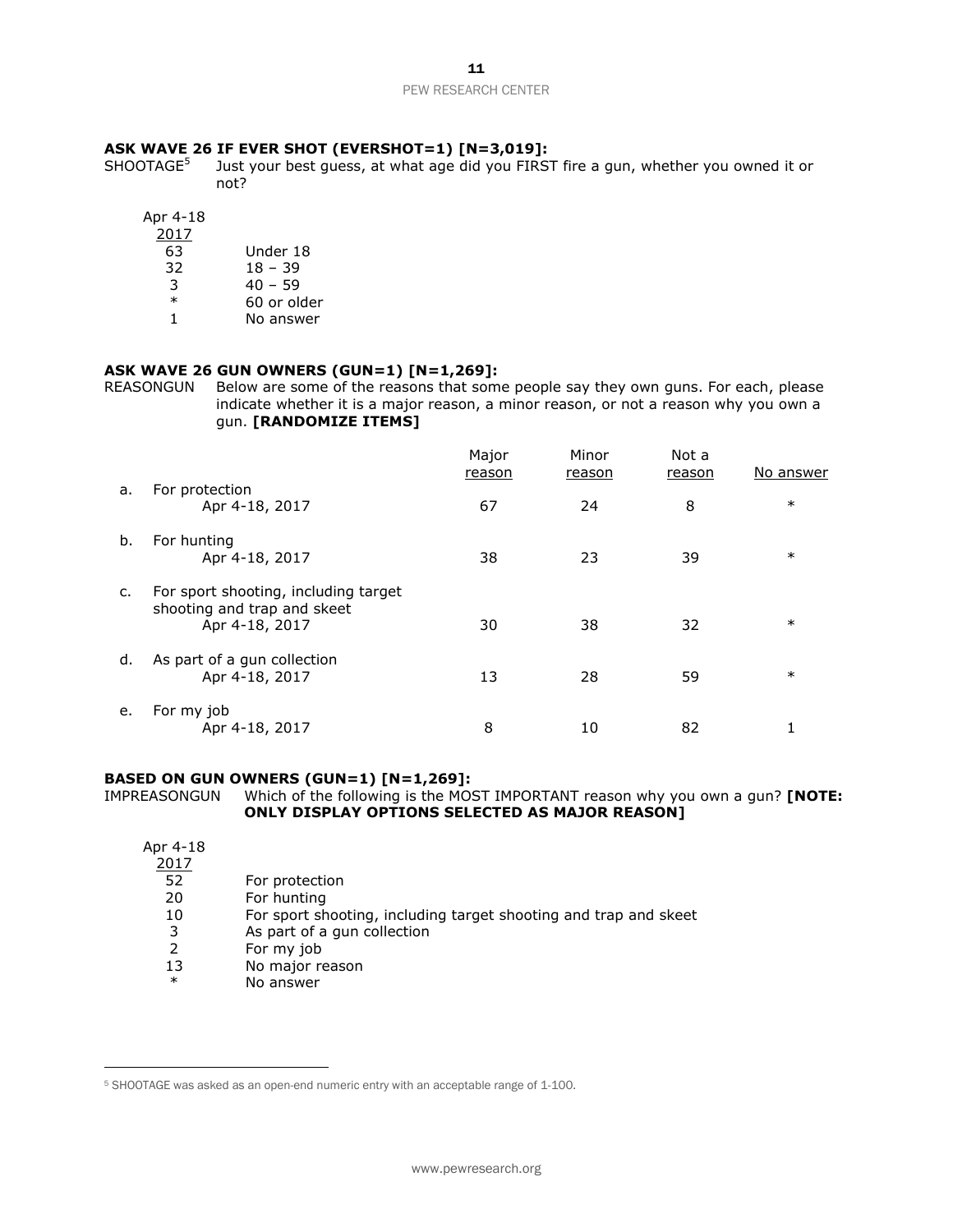## **ASK WAVE 26 IF EVER SHOT (EVERSHOT=1) [N=3,019]:**

SHOOTAGE<sup>5</sup> Just your best guess, at what age did you FIRST fire a gun, whether you owned it or not?

Apr 4-18

| 2017   |             |
|--------|-------------|
| 63     | Under 18    |
| 32     | 18 – 39     |
| 3      | $40 - 59$   |
| $\ast$ | 60 or older |

1 No answer

## **ASK WAVE 26 GUN OWNERS (GUN=1) [N=1,269]:**

REASONGUN Below are some of the reasons that some people say they own guns. For each, please indicate whether it is a major reason, a minor reason, or not a reason why you own a gun. **[RANDOMIZE ITEMS]**

|    |                                                                                       | Major<br>reason | Minor<br>reason | Not a<br>reason | No answer |
|----|---------------------------------------------------------------------------------------|-----------------|-----------------|-----------------|-----------|
| a. | For protection<br>Apr 4-18, 2017                                                      | 67              | 24              | 8               | $\ast$    |
| b. | For hunting<br>Apr 4-18, 2017                                                         | 38              | 23              | 39              | $\ast$    |
| c. | For sport shooting, including target<br>shooting and trap and skeet<br>Apr 4-18, 2017 | 30              | 38              | 32              | $\ast$    |
| d. | As part of a gun collection<br>Apr 4-18, 2017                                         | 13              | 28              | 59              | $\ast$    |
| e. | For my job<br>Apr 4-18, 2017                                                          | 8               | 10              | 82              |           |

#### **BASED ON GUN OWNERS (GUN=1) [N=1,269]:** IMPREASONGUN Which of the following is the MOST IMPORTANT reason why you own a gun? **[NOTE: ONLY DISPLAY OPTIONS SELECTED AS MAJOR REASON]**

| Apr 4-18 |                                                                  |
|----------|------------------------------------------------------------------|
| 2017     |                                                                  |
| 52       | For protection                                                   |
| 20       | For hunting                                                      |
| 10       | For sport shooting, including target shooting and trap and skeet |
| 3        | As part of a gun collection                                      |
| 2        | For my job                                                       |
| 13       | No major reason                                                  |
| $\ast$   | No answer                                                        |

 $\overline{a}$ 

<sup>5</sup> SHOOTAGE was asked as an open-end numeric entry with an acceptable range of 1-100.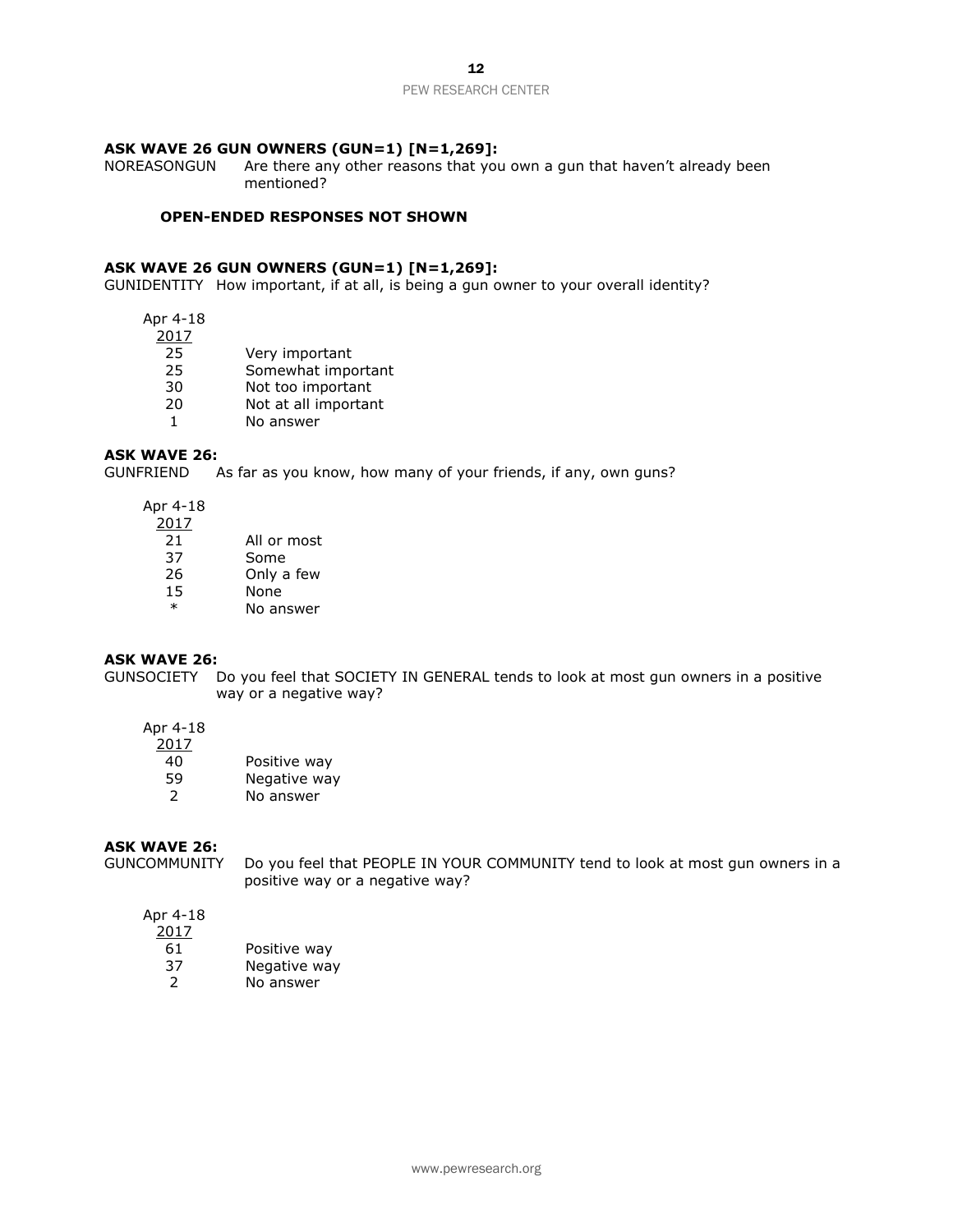12

#### PEW RESEARCH CENTER

## **ASK WAVE 26 GUN OWNERS (GUN=1) [N=1,269]:**

NOREASONGUN Are there any other reasons that you own a gun that haven't already been mentioned?

#### **OPEN-ENDED RESPONSES NOT SHOWN**

### **ASK WAVE 26 GUN OWNERS (GUN=1) [N=1,269]:**

GUNIDENTITY How important, if at all, is being a gun owner to your overall identity?

Apr 4-18

2017

- 25 Very important
- 25 Somewhat important
- 30 Not too important<br>20 Not at all important
- Not at all important
- 1 No answer

## **ASK WAVE 26:**

GUNFRIEND As far as you know, how many of your friends, if any, own guns?

Apr 4-18

2017

- 37 Some
- 26 Only a few
- 15 None
- \* No answer

#### **ASK WAVE 26:**

GUNSOCIETY Do you feel that SOCIETY IN GENERAL tends to look at most gun owners in a positive way or a negative way?

## Apr 4-18

| 2017          |              |
|---------------|--------------|
| 40            | Positive way |
| 59            | Negative way |
| $\mathcal{L}$ | No answer    |
|               |              |

## **ASK WAVE 26:**

GUNCOMMUNITY Do you feel that PEOPLE IN YOUR COMMUNITY tend to look at most gun owners in a positive way or a negative way?

## Apr 4-18  $\frac{1}{201}$

| 2017 |              |
|------|--------------|
| 61   | Positive way |
| 37   | Negative way |
| 2    | No answer    |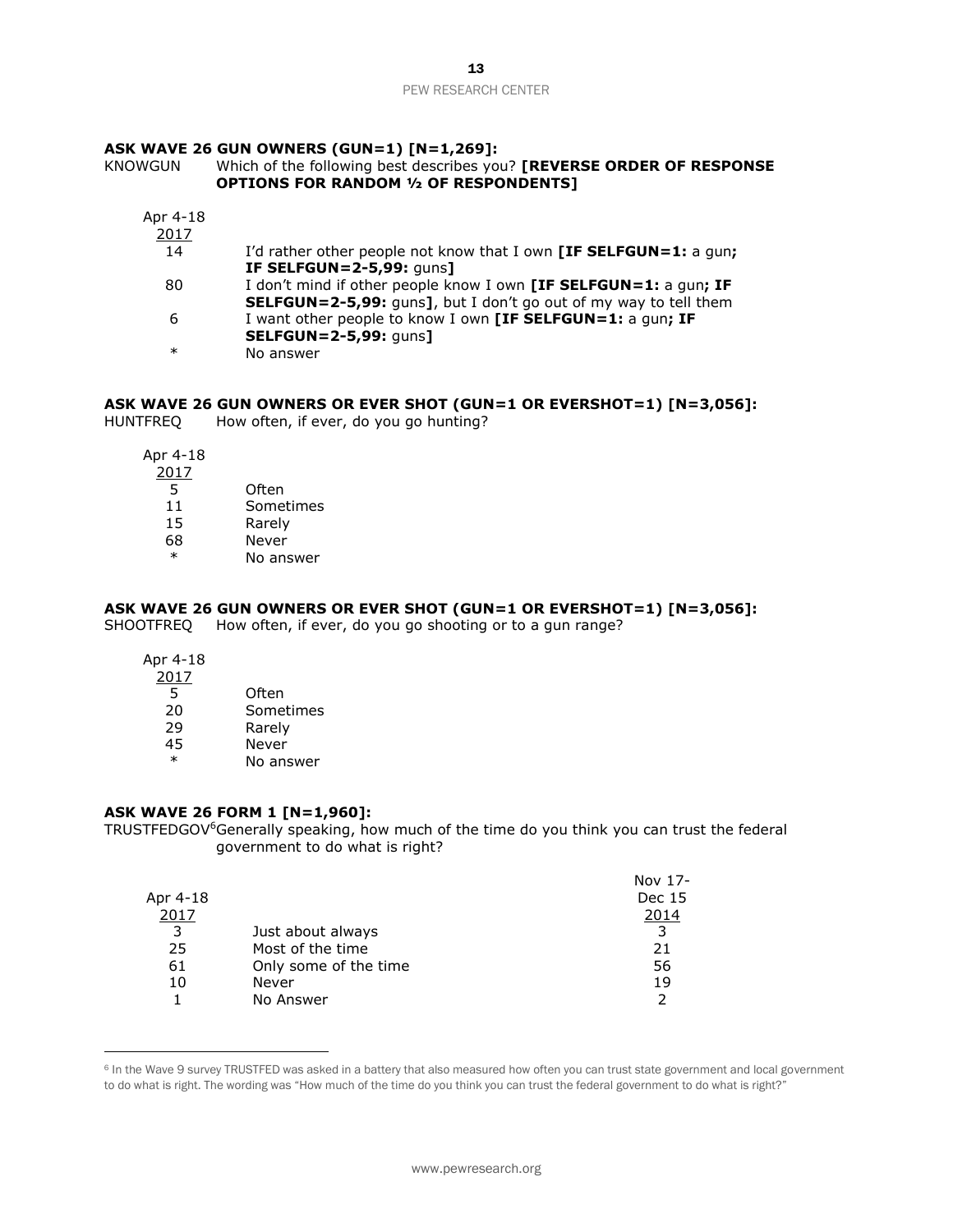## **ASK WAVE 26 GUN OWNERS (GUN=1) [N=1,269]:**

## KNOWGUN Which of the following best describes you? **[REVERSE ORDER OF RESPONSE OPTIONS FOR RANDOM ½ OF RESPONDENTS]**

| Apr 4-18 |                                                                         |
|----------|-------------------------------------------------------------------------|
| 2017     |                                                                         |
| 14       | I'd rather other people not know that I own [IF SELFGUN=1: a gun;       |
|          | <b>IF SELFGUN=2-5,99: quns]</b>                                         |
| 80       | I don't mind if other people know I own [IF SELFGUN=1: a gun; IF        |
|          | <b>SELFGUN=2-5,99:</b> guns], but I don't go out of my way to tell them |
| 6        | I want other people to know I own [IF SELFGUN=1: a gun; IF              |
|          | <b>SELFGUN=2-5,99: guns]</b>                                            |
| $\ast$   | No answer                                                               |

## **ASK WAVE 26 GUN OWNERS OR EVER SHOT (GUN=1 OR EVERSHOT=1) [N=3,056]:**

HUNTFREQ How often, if ever, do you go hunting?

Apr 4-18

2017  $\overline{5}$  Often

| د  | UILEII    |
|----|-----------|
| 11 | Sometimes |

- 15 Rarely
- 68 Never
- \* No answer

## **ASK WAVE 26 GUN OWNERS OR EVER SHOT (GUN=1 OR EVERSHOT=1) [N=3,056]:**

SHOOTFREQ How often, if ever, do you go shooting or to a gun range?

Apr 4-18

 $\overline{a}$ 

| 2017   |           |
|--------|-----------|
| 5      | Often     |
| 20     | Sometimes |
| 29     | Rarely    |
| 45     | Never     |
| $\ast$ | No answer |
|        |           |

## **ASK WAVE 26 FORM 1 [N=1,960]:**

TRUSTFEDGOV<sup>6</sup>Generally speaking, how much of the time do you think you can trust the federal government to do what is right?

|          |                       | Nov 17- |
|----------|-----------------------|---------|
| Apr 4-18 |                       | Dec 15  |
| 2017     |                       | 2014    |
| 3        | Just about always     | 3       |
| 25       | Most of the time      | 21      |
| 61       | Only some of the time | 56      |
| 10       | Never                 | 19      |
|          | No Answer             |         |

<sup>&</sup>lt;sup>6</sup> In the Wave 9 survey TRUSTFED was asked in a battery that also measured how often you can trust state government and local government to do what is right. The wording was "How much of the time do you think you can trust the federal government to do what is right?"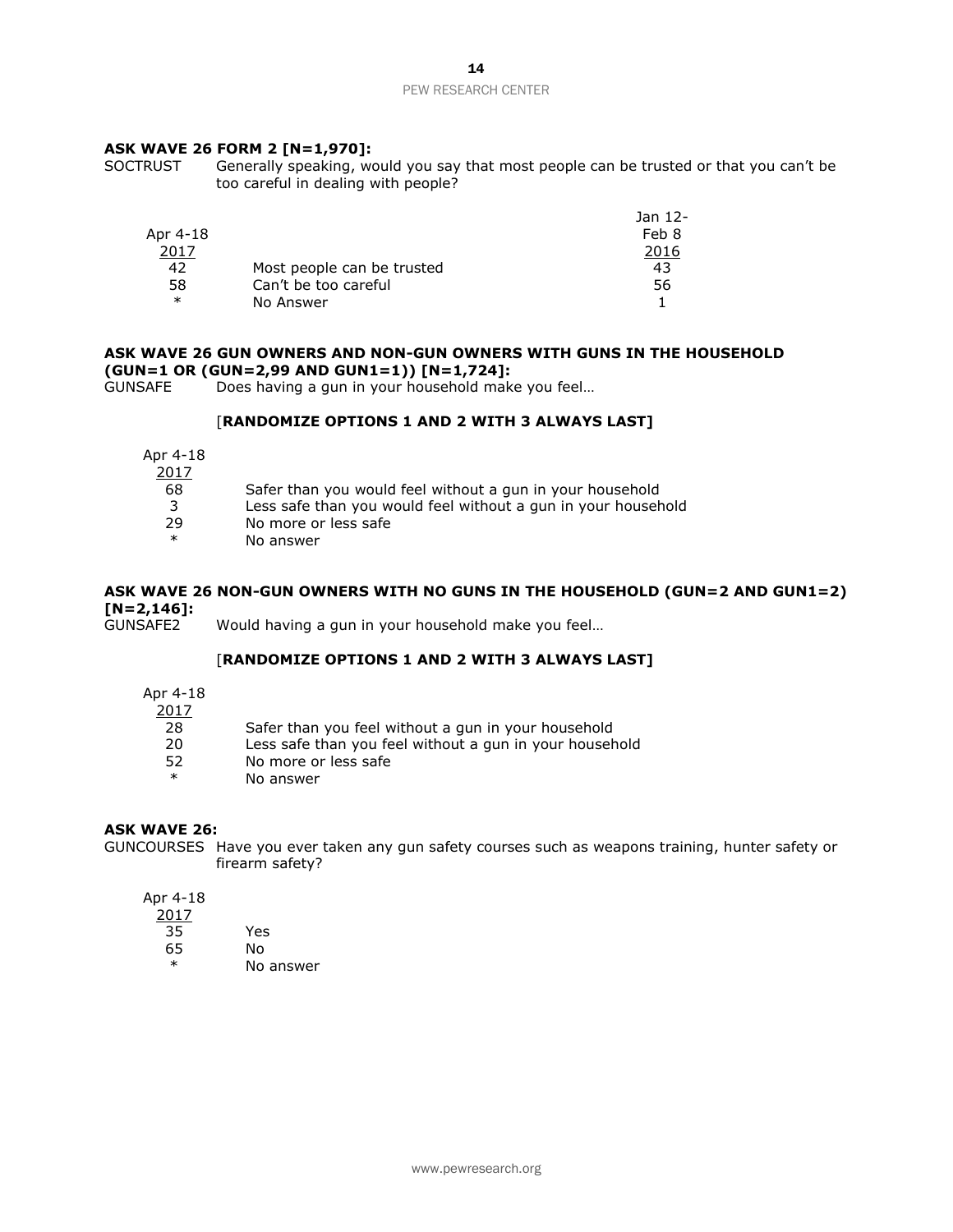## **ASK WAVE 26 FORM 2 [N=1,970]:**

SOCTRUST Generally speaking, would you say that most people can be trusted or that you can't be too careful in dealing with people?

|          |                            | Jan 12- |
|----------|----------------------------|---------|
| Apr 4-18 |                            | Feb 8   |
| 2017     |                            | 2016    |
| 42       | Most people can be trusted | 43      |
| 58       | Can't be too careful       | 56      |
| $\ast$   | No Answer                  |         |

## **ASK WAVE 26 GUN OWNERS AND NON-GUN OWNERS WITH GUNS IN THE HOUSEHOLD (GUN=1 OR (GUN=2,99 AND GUN1=1)) [N=1,724]:**

GUNSAFE Does having a gun in your household make you feel…

## [**RANDOMIZE OPTIONS 1 AND 2 WITH 3 ALWAYS LAST]**

Apr 4-18

| 2017   |                                                               |
|--------|---------------------------------------------------------------|
| 68     | Safer than you would feel without a gun in your household     |
| 3      | Less safe than you would feel without a gun in your household |
| -29    | No more or less safe                                          |
| $\ast$ | No answer                                                     |

## **ASK WAVE 26 NON-GUN OWNERS WITH NO GUNS IN THE HOUSEHOLD (GUN=2 AND GUN1=2) [N=2,146]:**

Would having a gun in your household make you feel...

## [**RANDOMIZE OPTIONS 1 AND 2 WITH 3 ALWAYS LAST]**

Apr 4-18

2017

- 28 Safer than you feel without a gun in your household
- 20 Less safe than you feel without a gun in your household
- 52 No more or less safe<br>
No apswor
- No answer

## **ASK WAVE 26:**

GUNCOURSES Have you ever taken any gun safety courses such as weapons training, hunter safety or firearm safety?

Apr 4-18 2017

| .  |           |
|----|-----------|
| 35 | Yes       |
| 65 | N٥        |
| ж  | No answer |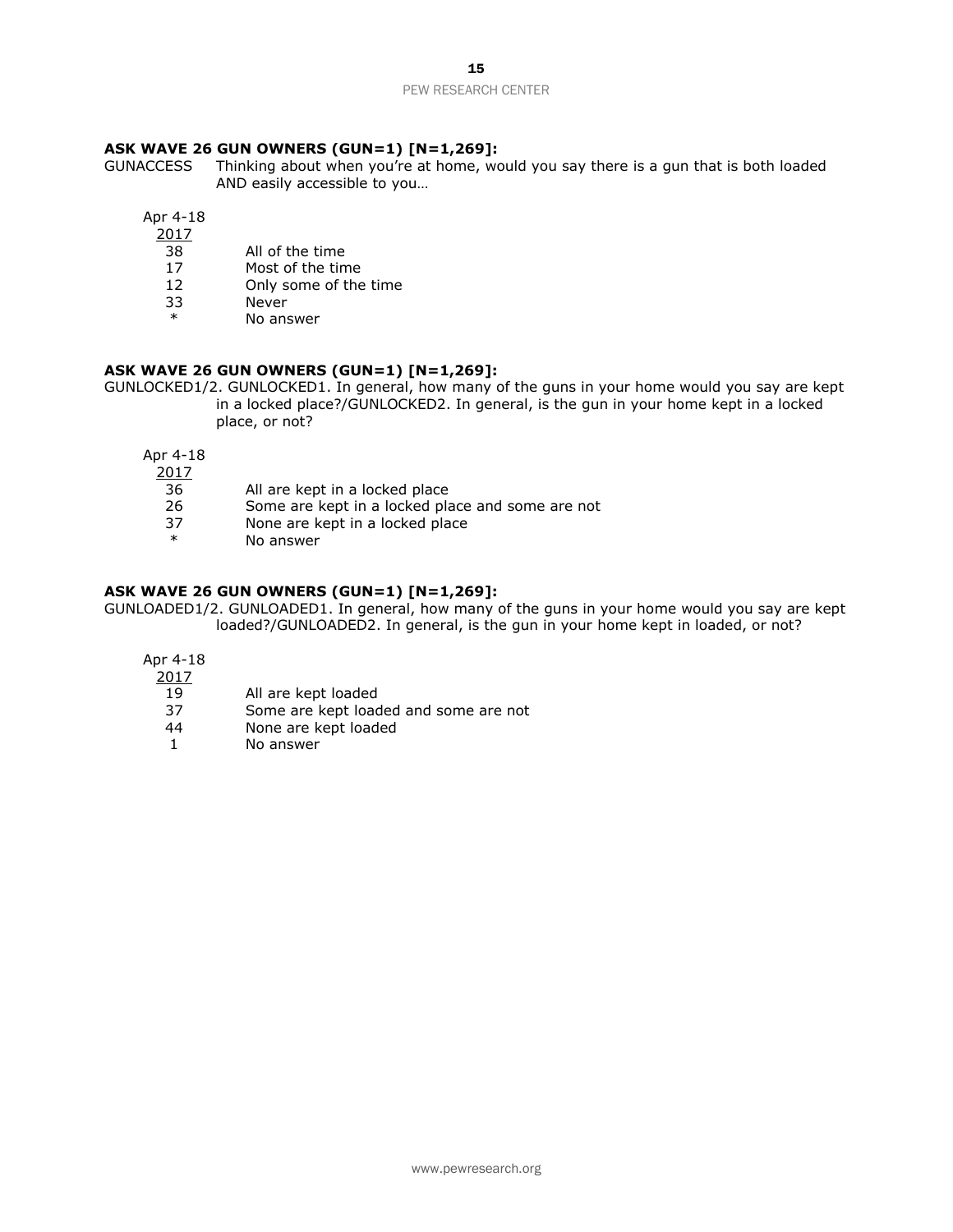## **ASK WAVE 26 GUN OWNERS (GUN=1) [N=1,269]:**

GUNACCESS Thinking about when you're at home, would you say there is a gun that is both loaded AND easily accessible to you…

Apr 4-18

- 2017
- 38 All of the time
- 17 Most of the time
- 12 Only some of the time
- 33 Never
- No answer

## **ASK WAVE 26 GUN OWNERS (GUN=1) [N=1,269]:**

GUNLOCKED1/2. GUNLOCKED1. In general, how many of the guns in your home would you say are kept in a locked place?/GUNLOCKED2. In general, is the gun in your home kept in a locked place, or not?

Apr 4-18

- 2017
	- 36 All are kept in a locked place
	- 26 Some are kept in a locked place and some are not
- 37 None are kept in a locked place<br>
<sup>\*</sup> No answer
- No answer

## **ASK WAVE 26 GUN OWNERS (GUN=1) [N=1,269]:**

GUNLOADED1/2. GUNLOADED1. In general, how many of the guns in your home would you say are kept loaded?/GUNLOADED2. In general, is the gun in your home kept in loaded, or not?

Apr 4-18

- 2017
- 19 All are kept loaded
- 37 Some are kept loaded and some are not
- 44 None are kept loaded
- 1 No answer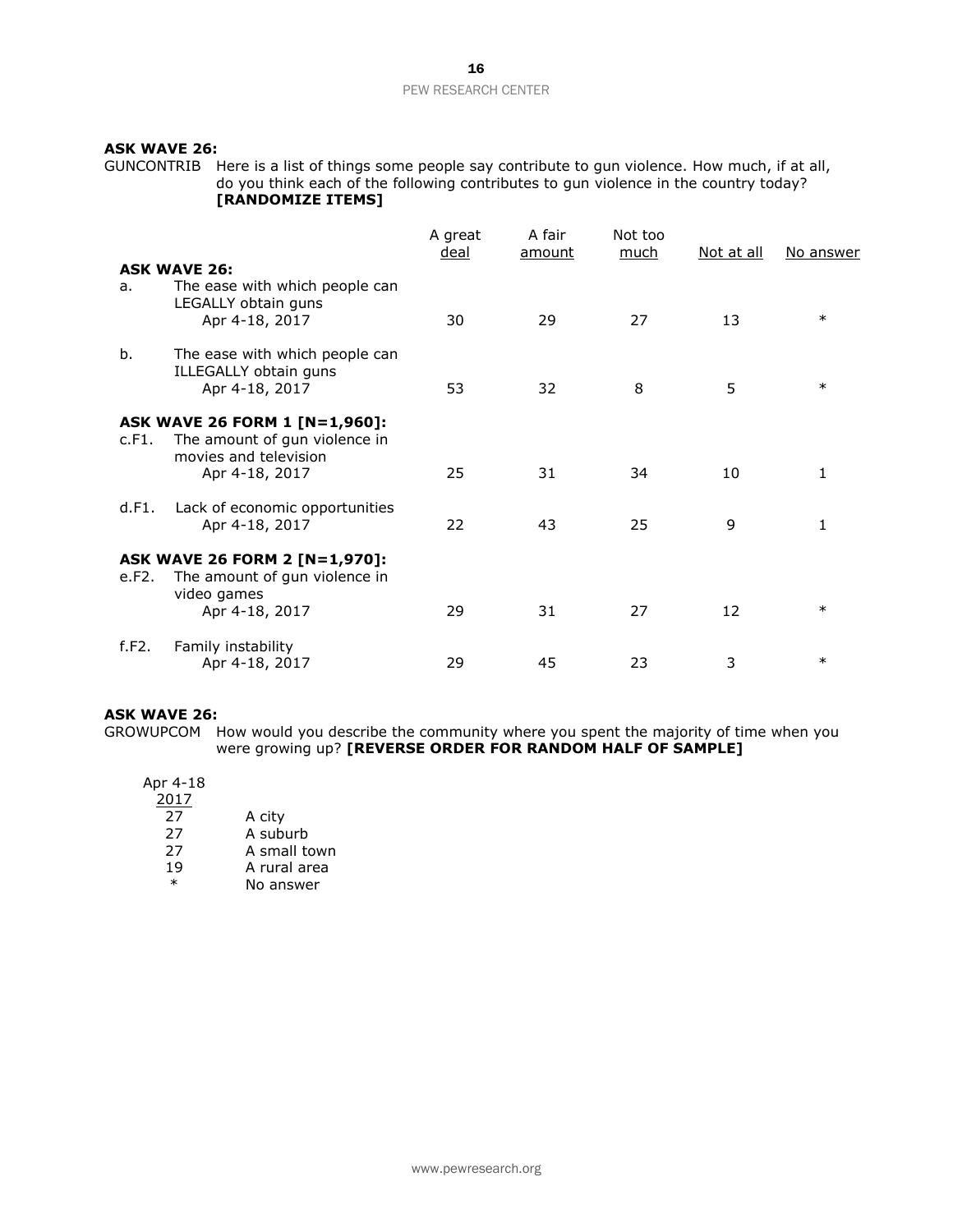## **ASK WAVE 26:**

GUNCONTRIB Here is a list of things some people say contribute to gun violence. How much, if at all, do you think each of the following contributes to gun violence in the country today? **[RANDOMIZE ITEMS]**

|       |                                                                                         | A great<br><u>deal</u> | A fair<br>amount | Not too<br>much | Not at all | No answer    |
|-------|-----------------------------------------------------------------------------------------|------------------------|------------------|-----------------|------------|--------------|
| a.    | <b>ASK WAVE 26:</b><br>The ease with which people can<br>LEGALLY obtain guns            |                        |                  |                 |            | $\ast$       |
|       | Apr 4-18, 2017                                                                          | 30                     | 29               | 27              | 13         |              |
| b.    | The ease with which people can<br>ILLEGALLY obtain guns<br>Apr 4-18, 2017               | 53                     | 32               | 8               | 5          | $\ast$       |
| c.F1. | ASK WAVE 26 FORM 1 [N=1,960]:<br>The amount of gun violence in<br>movies and television |                        |                  |                 |            |              |
|       | Apr 4-18, 2017                                                                          | 25                     | 31               | 34              | 10         | 1            |
| d.F1. | Lack of economic opportunities<br>Apr 4-18, 2017                                        | 22                     | 43               | 25              | 9          | $\mathbf{1}$ |
| e.F2. | ASK WAVE 26 FORM 2 [N=1,970]:<br>The amount of gun violence in                          |                        |                  |                 |            |              |
|       | video games<br>Apr 4-18, 2017                                                           | 29                     | 31               | 27              | 12         | $\ast$       |
| f.F2. | Family instability<br>Apr 4-18, 2017                                                    | 29                     | 45               | 23              | 3          | $\ast$       |

#### **ASK WAVE 26:**

GROWUPCOM How would you describe the community where you spent the majority of time when you were growing up? **[REVERSE ORDER FOR RANDOM HALF OF SAMPLE]**

## Apr 4-18

| 1 שב-ד |              |
|--------|--------------|
| 2017   |              |
| 27     | A city       |
| 27     | A suburb     |
| 27     | A small town |
| 1 Q    | A rural area |

19 A rural area<br>
\* No answer No answer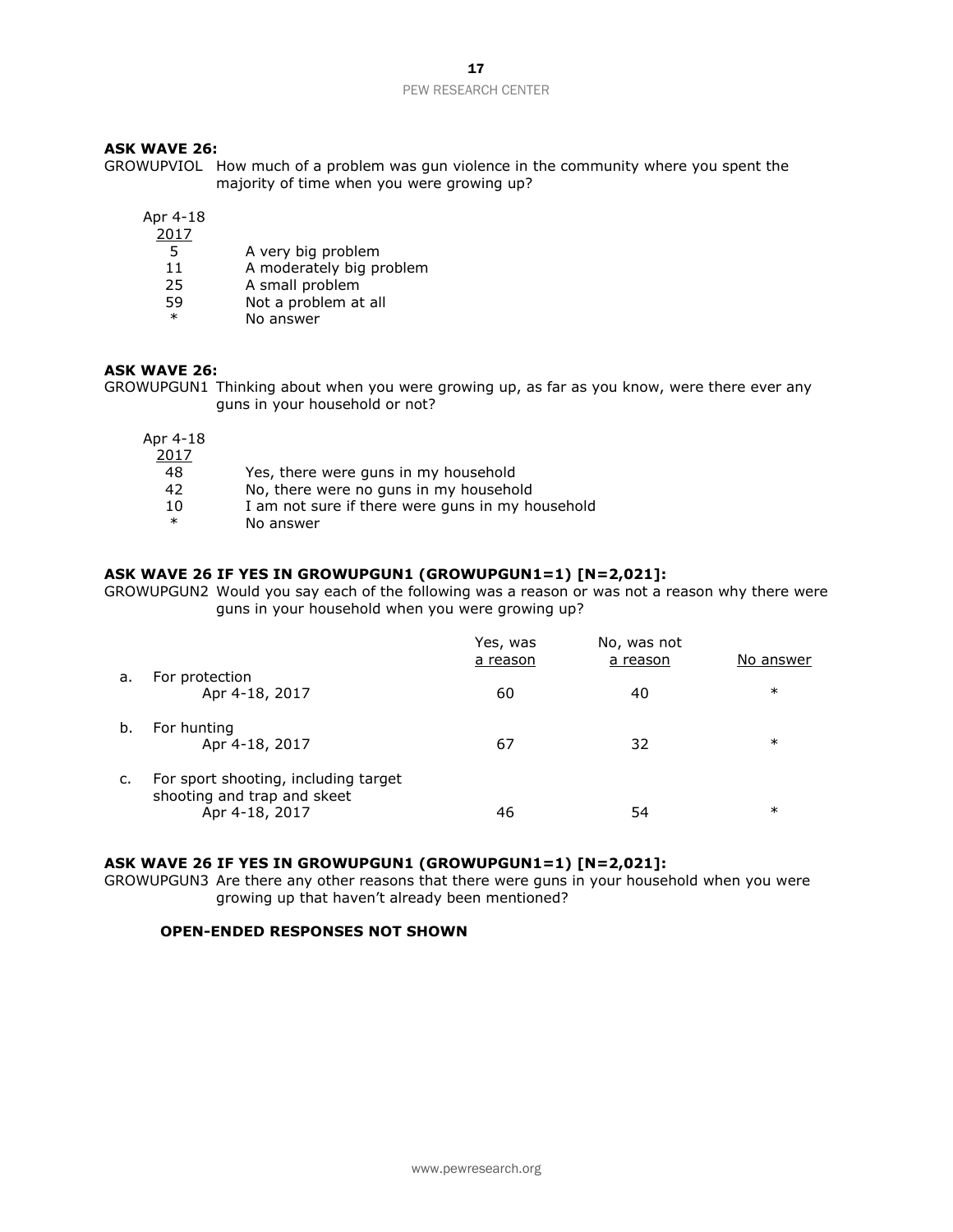## **ASK WAVE 26:**

GROWUPVIOL How much of a problem was gun violence in the community where you spent the majority of time when you were growing up?

Apr 4-18

- 2017
	- 5 A very big problem
- 11 A moderately big problem
- 25 A small problem
- 59 Not a problem at all<br>\* No answer
- No answer

## **ASK WAVE 26:**

GROWUPGUN1 Thinking about when you were growing up, as far as you know, were there ever any guns in your household or not?

Apr 4-18

- 2017 48 Yes, there were guns in my household
	- 42 No, there were no guns in my household
	- 10 I am not sure if there were guns in my household
	- \* No answer

## **ASK WAVE 26 IF YES IN GROWUPGUN1 (GROWUPGUN1=1) [N=2,021]:**

GROWUPGUN2 Would you say each of the following was a reason or was not a reason why there were guns in your household when you were growing up?

|    |                                                                     | Yes, was<br>a reason | No, was not<br>a reason | No answer |
|----|---------------------------------------------------------------------|----------------------|-------------------------|-----------|
| a. | For protection                                                      |                      |                         |           |
|    | Apr 4-18, 2017                                                      | 60                   | 40                      | $\ast$    |
| b. | For hunting                                                         |                      |                         |           |
|    | Apr 4-18, 2017                                                      | 67                   | 32                      | $\ast$    |
| c. | For sport shooting, including target<br>shooting and trap and skeet |                      |                         |           |
|    | Apr 4-18, 2017                                                      | 46                   | 54                      | $\ast$    |

## **ASK WAVE 26 IF YES IN GROWUPGUN1 (GROWUPGUN1=1) [N=2,021]:**

GROWUPGUN3 Are there any other reasons that there were guns in your household when you were growing up that haven't already been mentioned?

#### **OPEN-ENDED RESPONSES NOT SHOWN**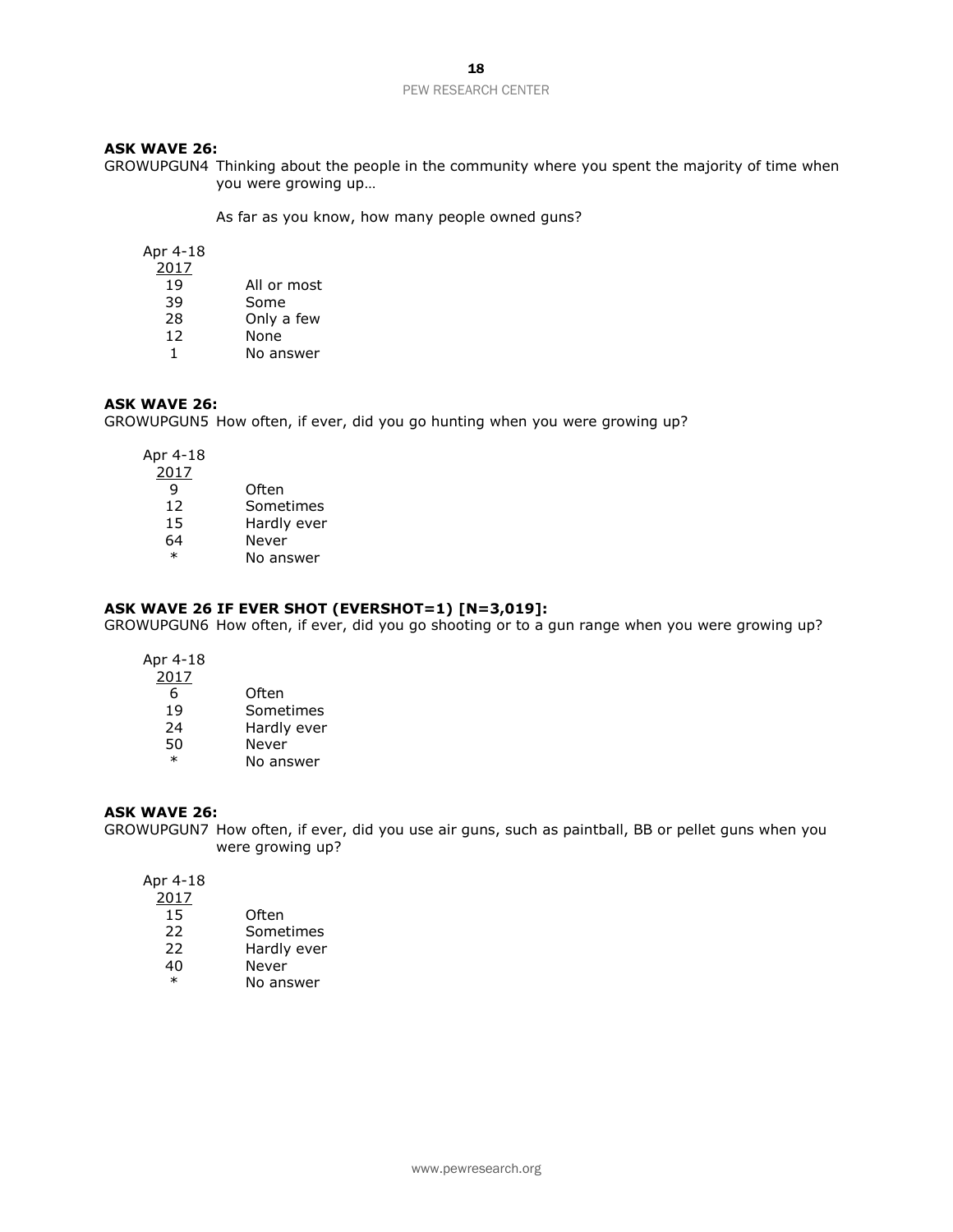## **ASK WAVE 26:**

GROWUPGUN4 Thinking about the people in the community where you spent the majority of time when you were growing up…

As far as you know, how many people owned guns?

Apr 4-18

 $\frac{2017}{19}$ 

- All or most
- 39 Some<br>28 Only a
- Only a few
- 12 None 1 No answer

## **ASK WAVE 26:**

GROWUPGUN5 How often, if ever, did you go hunting when you were growing up?

Apr 4-18

| 2017   |             |
|--------|-------------|
| q      | Often       |
| 12     | Sometimes   |
| 15     | Hardly ever |
| 64     | Never       |
| $\ast$ | No answer   |

## **ASK WAVE 26 IF EVER SHOT (EVERSHOT=1) [N=3,019]:**

GROWUPGUN6 How often, if ever, did you go shooting or to a gun range when you were growing up?

Apr 4-18

| 2017   |             |
|--------|-------------|
| 6      | Often       |
| 19     | Sometimes   |
| 24     | Hardly ever |
| 50     | Never       |
| $\ast$ | No answer   |

## **ASK WAVE 26:**

GROWUPGUN7 How often, if ever, did you use air guns, such as paintball, BB or pellet guns when you were growing up?

Apr 4-18

| 2017 |  |  |  |  |
|------|--|--|--|--|
|      |  |  |  |  |

- 15 Often
- 22 Sometimes
- 22 Hardly ever
- 40 Never
- \* No answer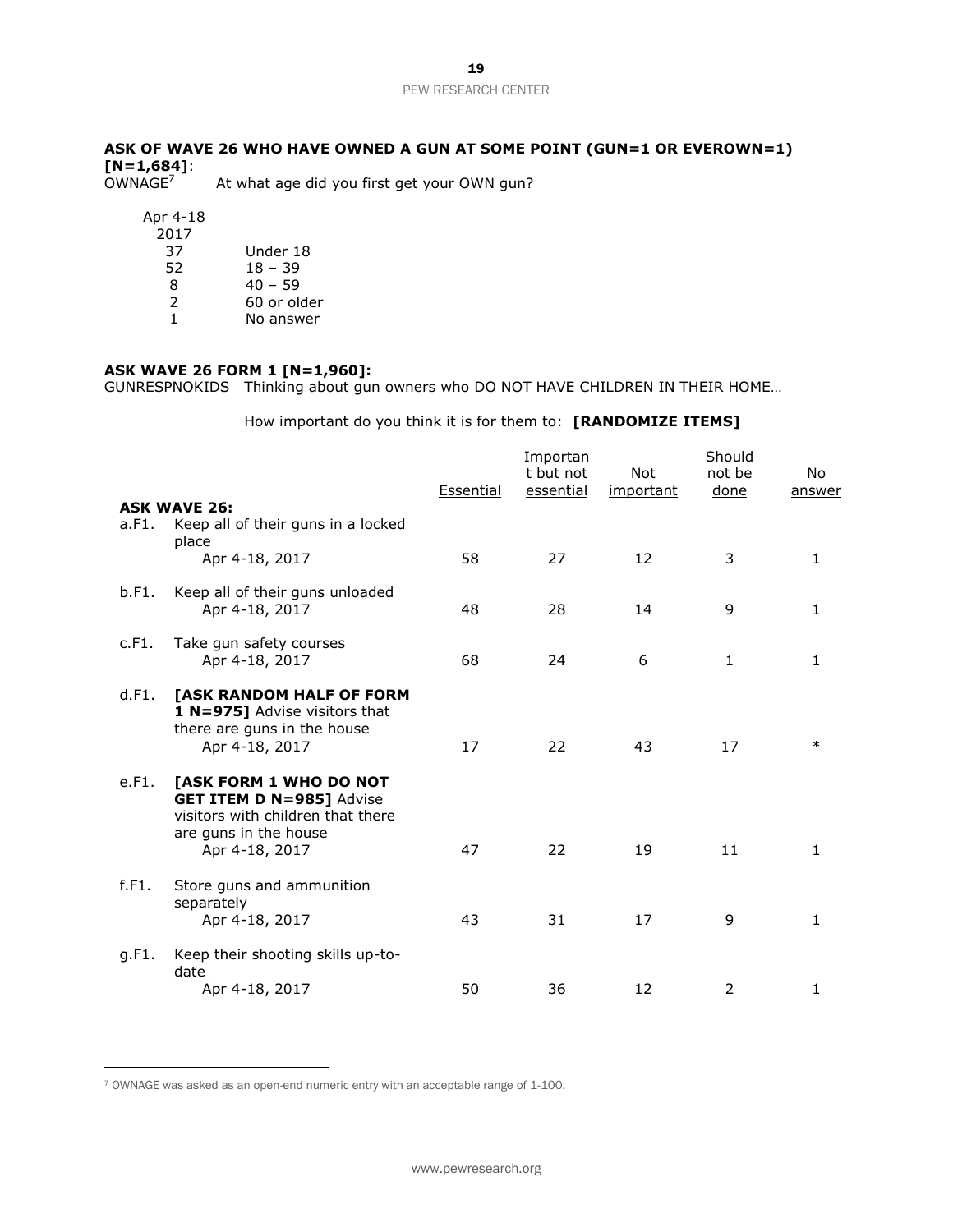**ASK OF WAVE 26 WHO HAVE OWNED A GUN AT SOME POINT (GUN=1 OR EVEROWN=1) [N=1,684]**:

At what age did you first get your OWN gun?

Apr 4-18

| 2017 |             |
|------|-------------|
| 37   | Under 18    |
| 52   | $18 - 39$   |
| 8    | $40 - 59$   |
| 2    | 60 or older |
| 1.   | No answer   |
|      |             |

## **ASK WAVE 26 FORM 1 [N=1,960]:**

GUNRESPNOKIDS Thinking about gun owners who DO NOT HAVE CHILDREN IN THEIR HOME…

How important do you think it is for them to: **[RANDOMIZE ITEMS]**

|       |                                                                                                                                           | Essential | Importan<br>t but not<br>essential | <b>Not</b><br>important | Should<br>not be<br>done | No<br>answer |
|-------|-------------------------------------------------------------------------------------------------------------------------------------------|-----------|------------------------------------|-------------------------|--------------------------|--------------|
| a.F1. | <b>ASK WAVE 26:</b><br>Keep all of their guns in a locked                                                                                 |           |                                    |                         |                          |              |
|       | place<br>Apr 4-18, 2017                                                                                                                   | 58        | 27                                 | 12                      | 3                        | $\mathbf{1}$ |
| b.F1. | Keep all of their guns unloaded<br>Apr 4-18, 2017                                                                                         | 48        | 28                                 | 14                      | 9                        | $\mathbf{1}$ |
| c.F1. | Take gun safety courses<br>Apr 4-18, 2017                                                                                                 | 68        | 24                                 | 6                       | $\mathbf{1}$             | 1            |
| d.F1. | [ASK RANDOM HALF OF FORM<br>1 N=975] Advise visitors that<br>there are guns in the house<br>Apr 4-18, 2017                                | 17        | 22                                 | 43                      | 17                       | $\ast$       |
| e.F1. | [ASK FORM 1 WHO DO NOT<br><b>GET ITEM D N=985] Advise</b><br>visitors with children that there<br>are guns in the house<br>Apr 4-18, 2017 | 47        | 22                                 | 19                      | 11                       | 1            |
| f.F1. | Store guns and ammunition<br>separately<br>Apr 4-18, 2017                                                                                 | 43        | 31                                 | 17                      | 9                        | 1            |
| g.F1. | Keep their shooting skills up-to-<br>date<br>Apr 4-18, 2017                                                                               | 50        | 36                                 | 12                      | $\overline{2}$           | 1            |

<sup>7</sup> OWNAGE was asked as an open-end numeric entry with an acceptable range of 1-100.

 $\overline{a}$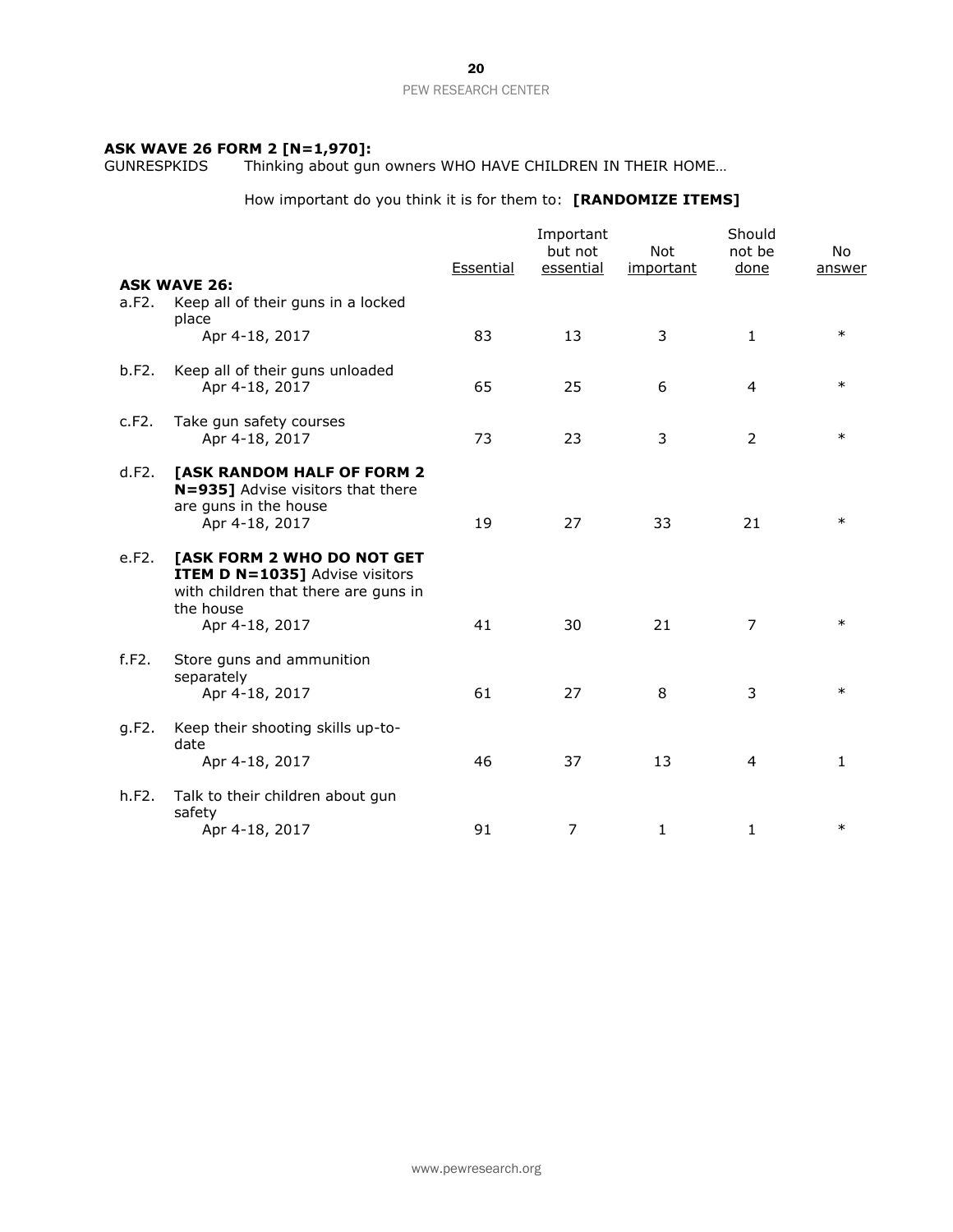### **ASK WAVE 26 FORM 2 [N=1,970]:**

GUNRESPKIDS Thinking about gun owners WHO HAVE CHILDREN IN THEIR HOME…

How important do you think it is for them to: **[RANDOMIZE ITEMS]**

|       |                                                                                                                                            | Essential | Important<br>but not<br>essential | <b>Not</b><br>important | Should<br>not be<br>done | No.<br>answer |
|-------|--------------------------------------------------------------------------------------------------------------------------------------------|-----------|-----------------------------------|-------------------------|--------------------------|---------------|
| a.F2. | <b>ASK WAVE 26:</b><br>Keep all of their guns in a locked<br>place                                                                         |           |                                   |                         |                          |               |
|       | Apr 4-18, 2017                                                                                                                             | 83        | 13                                | 3                       | $\mathbf{1}$             | $\ast$        |
| b.F2. | Keep all of their guns unloaded<br>Apr 4-18, 2017                                                                                          | 65        | 25                                | 6                       | $\overline{4}$           | $\ast$        |
| c.F2. | Take gun safety courses<br>Apr 4-18, 2017                                                                                                  | 73        | 23                                | 3                       | $\overline{2}$           | $\ast$        |
| d.F2. | [ASK RANDOM HALF OF FORM 2<br>N=935] Advise visitors that there<br>are guns in the house<br>Apr 4-18, 2017                                 | 19        | 27                                | 33                      | 21                       | $\ast$        |
| e.F2. | [ASK FORM 2 WHO DO NOT GET<br><b>ITEM D N=1035]</b> Advise visitors<br>with children that there are guns in<br>the house<br>Apr 4-18, 2017 | 41        | 30                                | 21                      | 7                        | $\ast$        |
| f.F2. | Store guns and ammunition<br>separately<br>Apr 4-18, 2017                                                                                  | 61        | 27                                | 8                       | 3                        | $\ast$        |
| g.F2. | Keep their shooting skills up-to-<br>date<br>Apr 4-18, 2017                                                                                | 46        | 37                                | 13                      | 4                        | 1             |
| h.F2. | Talk to their children about gun<br>safety<br>Apr 4-18, 2017                                                                               | 91        | $\overline{7}$                    | $\mathbf{1}$            | $\mathbf{1}$             | $\ast$        |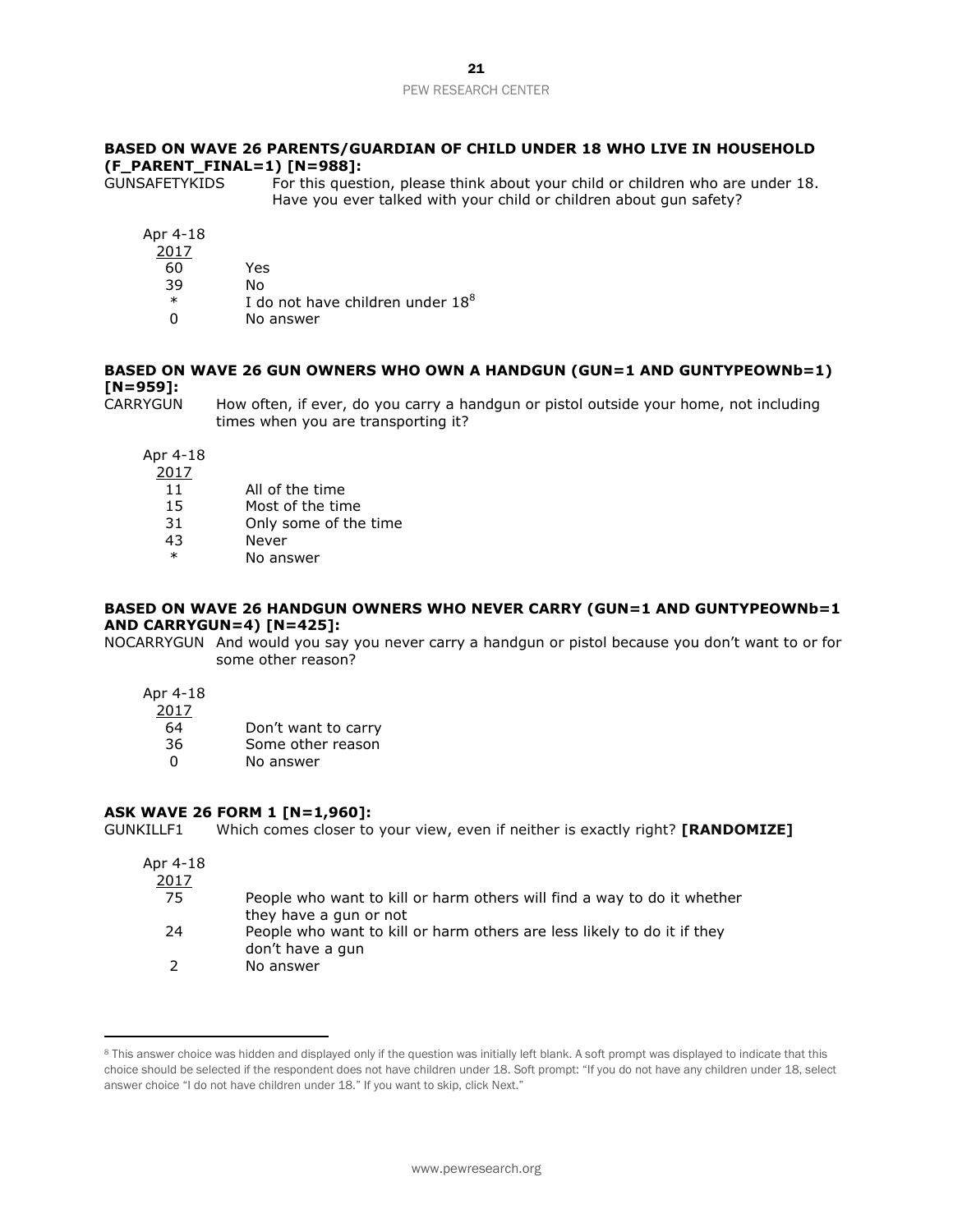## **BASED ON WAVE 26 PARENTS/GUARDIAN OF CHILD UNDER 18 WHO LIVE IN HOUSEHOLD (F\_PARENT\_FINAL=1) [N=988]:**

GUNSAFETYKIDS For this question, please think about your child or children who are under 18. Have you ever talked with your child or children about gun safety?

Apr 4-18

- 2017
- 60 Yes
- 39 No
- $*$  I do not have children under  $18<sup>8</sup>$
- 0 No answer

## **BASED ON WAVE 26 GUN OWNERS WHO OWN A HANDGUN (GUN=1 AND GUNTYPEOWNb=1) [N=959]:**

CARRYGUN How often, if ever, do you carry a handgun or pistol outside your home, not including times when you are transporting it?

Apr 4-18

2017

- 11 All of the time
- 15 Most of the time
- 31 Only some of the time
- 43 Never
- No answer

## **BASED ON WAVE 26 HANDGUN OWNERS WHO NEVER CARRY (GUN=1 AND GUNTYPEOWNb=1 AND CARRYGUN=4) [N=425]:**

NOCARRYGUN And would you say you never carry a handgun or pistol because you don't want to or for some other reason?

Apr 4-18

2017

| -64 | Don't want to carry |
|-----|---------------------|
|     |                     |

- 36 Some other reason
- 0 No answer

## **ASK WAVE 26 FORM 1 [N=1,960]:**

GUNKILLF1 Which comes closer to your view, even if neither is exactly right? **[RANDOMIZE]**

#### Apr 4-18  $2017$

 $\overline{a}$ 

| <u> 2017</u> |                                                                         |
|--------------|-------------------------------------------------------------------------|
| -75          | People who want to kill or harm others will find a way to do it whether |
|              | they have a gun or not                                                  |
| -24          | People who want to kill or harm others are less likely to do it if they |
|              | don't have a gun                                                        |
|              | No answer                                                               |

<sup>&</sup>lt;sup>8</sup> This answer choice was hidden and displayed only if the question was initially left blank. A soft prompt was displayed to indicate that this choice should be selected if the respondent does not have children under 18. Soft prompt: "If you do not have any children under 18, select answer choice "I do not have children under 18." If you want to skip, click Next."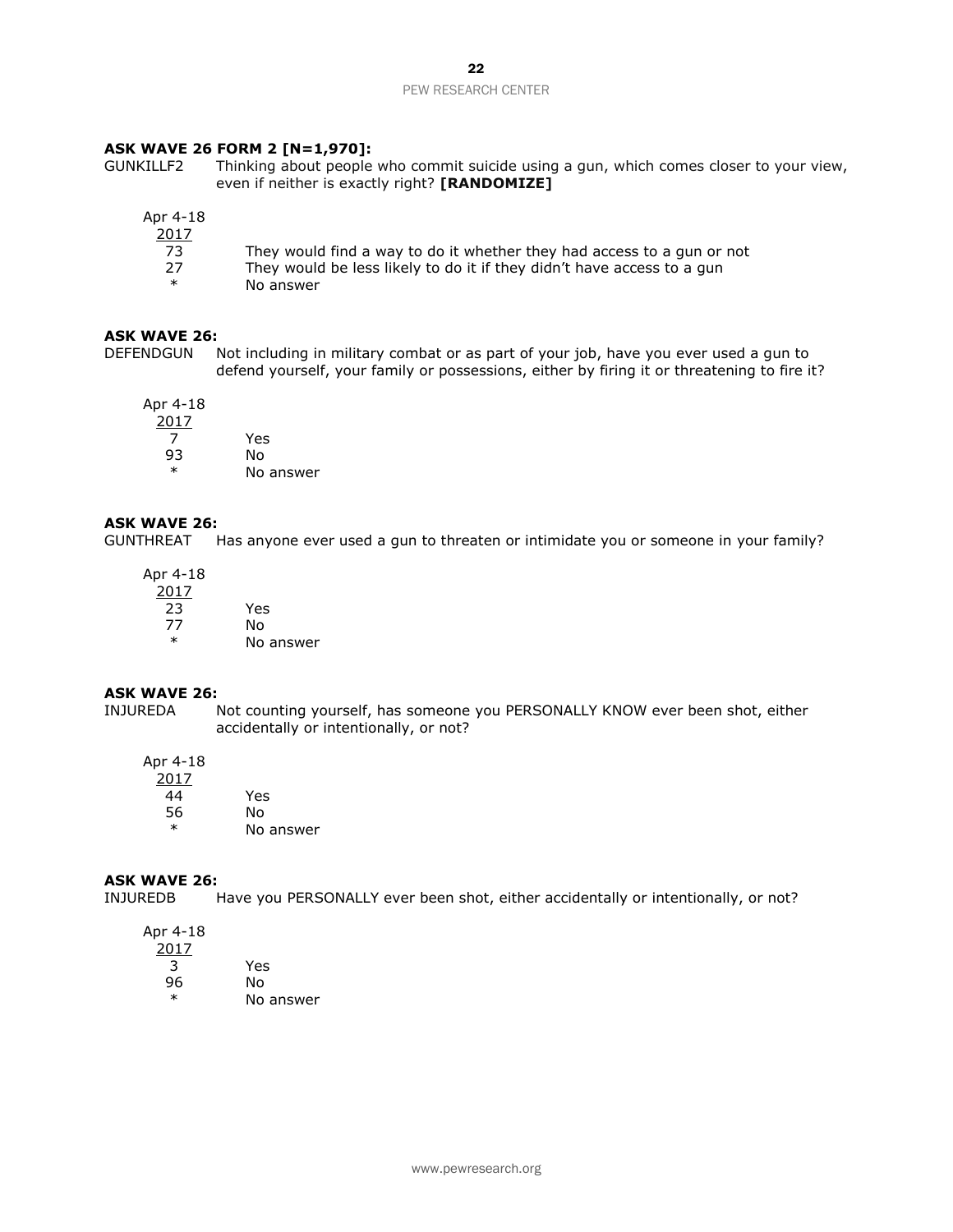## **ASK WAVE 26 FORM 2 [N=1,970]:**

GUNKILLF2 Thinking about people who commit suicide using a gun, which comes closer to your view, even if neither is exactly right? **[RANDOMIZE]**

| Apr 4-18      |                                                                        |
|---------------|------------------------------------------------------------------------|
| <u> 2017 </u> |                                                                        |
| 73.           | They would find a way to do it whether they had access to a gun or not |
| 27            | They would be less likely to do it if they didn't have access to a gun |
| ж             | No answer                                                              |

#### **ASK WAVE 26:**

DEFENDGUN Not including in military combat or as part of your job, have you ever used a gun to defend yourself, your family or possessions, either by firing it or threatening to fire it?

Apr 4-18 2017 7 Yes 93 No

## **ASK WAVE 26:**

GUNTHREAT Has anyone ever used a gun to threaten or intimidate you or someone in your family?

| Apr 4-18 |           |
|----------|-----------|
| 2017     |           |
| 23       | Yes       |
| 77       | No        |
| $\star$  | No answer |

No answer

## **ASK WAVE 26:**

INJUREDA Not counting yourself, has someone you PERSONALLY KNOW ever been shot, either accidentally or intentionally, or not?

## Apr 4-18

| 2017    |           |
|---------|-----------|
| 44      | Yes       |
| 56      | N٥        |
| $\star$ | No answer |

# **ASK WAVE 26:**

Have you PERSONALLY ever been shot, either accidentally or intentionally, or not?

Apr 4-18 2017 3 Yes

96 No \* No answer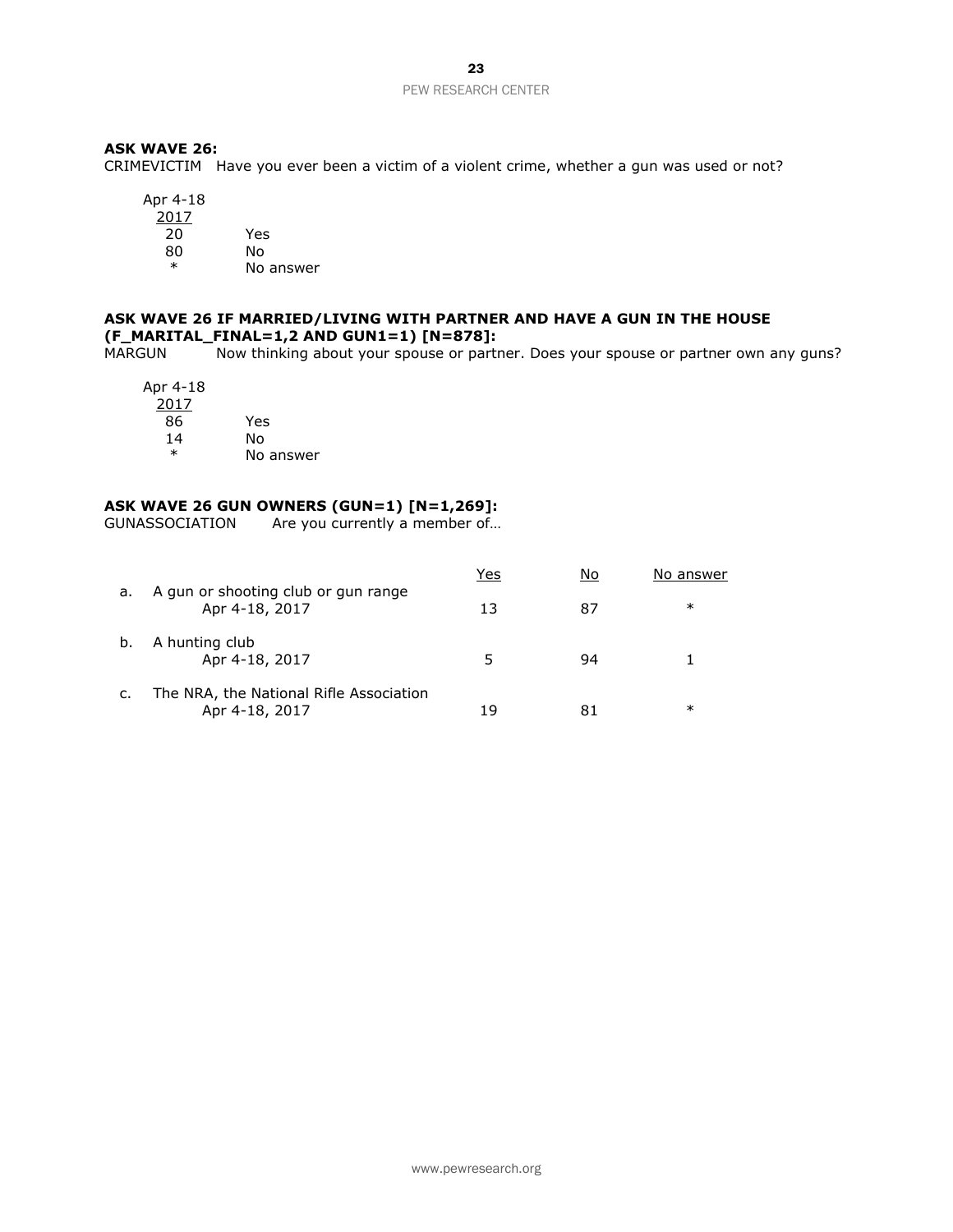## **ASK WAVE 26:**

CRIMEVICTIM Have you ever been a victim of a violent crime, whether a gun was used or not?

Apr 4-18 2017

20 Yes 80 No

\* No answer

## **ASK WAVE 26 IF MARRIED/LIVING WITH PARTNER AND HAVE A GUN IN THE HOUSE (F\_MARITAL\_FINAL=1,2 AND GUN1=1) [N=878]:**

Now thinking about your spouse or partner. Does your spouse or partner own any guns?

Apr 4-18 2017 86 Yes 14 No

No answer

# **ASK WAVE 26 GUN OWNERS (GUN=1) [N=1,269]:**

Are you currently a member of...

|    |                                                           | Yes | No | No answer |
|----|-----------------------------------------------------------|-----|----|-----------|
| a. | A gun or shooting club or gun range<br>Apr 4-18, 2017     | 13  | 87 | $\ast$    |
| b. | A hunting club<br>Apr 4-18, 2017                          |     | 94 |           |
| c. | The NRA, the National Rifle Association<br>Apr 4-18, 2017 | 19  |    | ∗         |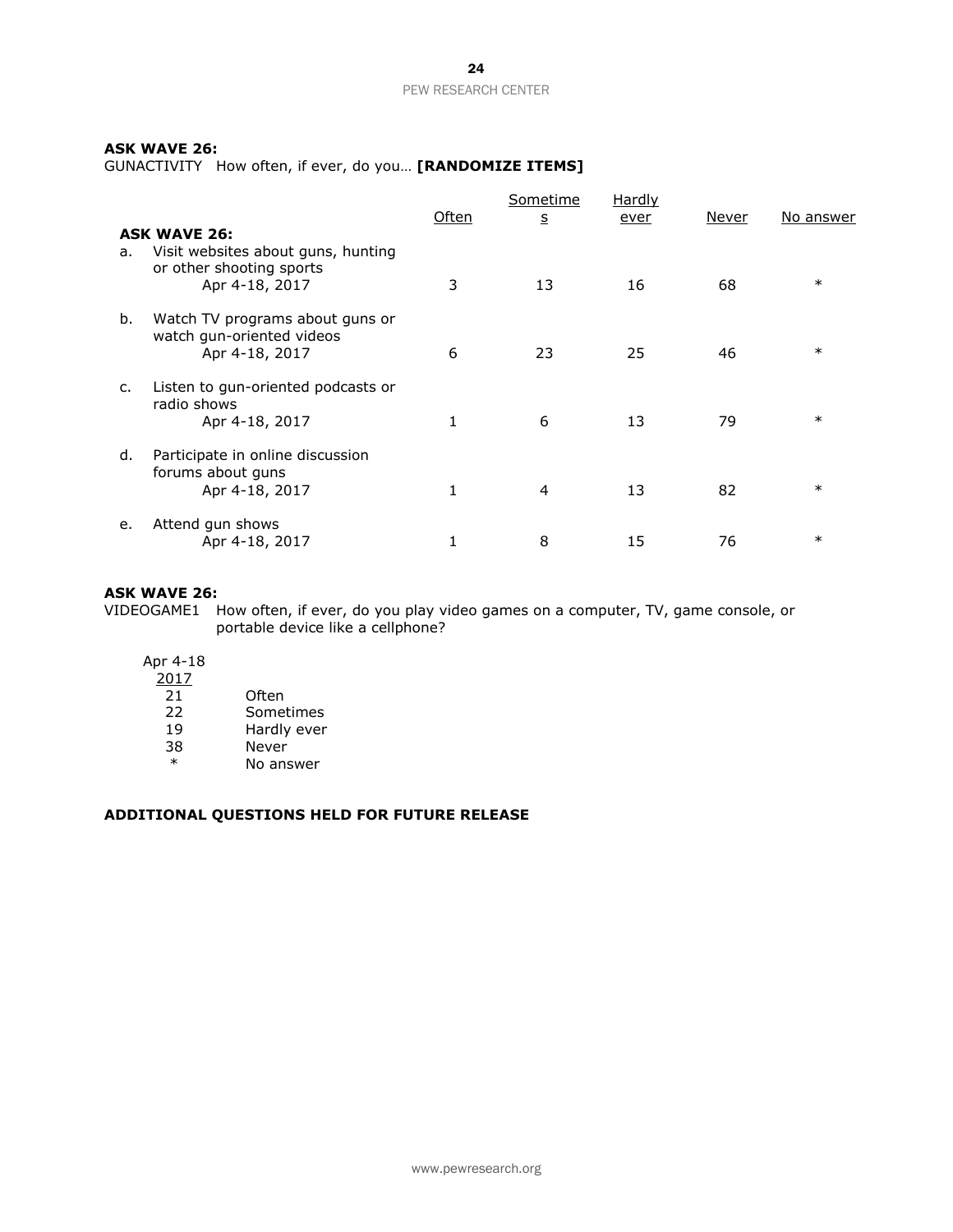## **ASK WAVE 26:**

GUNACTIVITY How often, if ever, do you… **[RANDOMIZE ITEMS]**

|    |                                                                                  | Often | <u>Sometime</u><br>$\overline{\mathbf{5}}$ | Hardly<br>ever | Never | No answer |
|----|----------------------------------------------------------------------------------|-------|--------------------------------------------|----------------|-------|-----------|
|    | <b>ASK WAVE 26:</b>                                                              |       |                                            |                |       |           |
| а. | Visit websites about guns, hunting<br>or other shooting sports<br>Apr 4-18, 2017 | 3     | 13                                         | 16             | 68    | $\ast$    |
| b. | Watch TV programs about guns or<br>watch gun-oriented videos<br>Apr 4-18, 2017   | 6     | 23                                         | 25             | 46    | $\ast$    |
| c. | Listen to gun-oriented podcasts or<br>radio shows<br>Apr 4-18, 2017              | 1     | 6                                          | 13             | 79    | $\ast$    |
| d. | Participate in online discussion<br>forums about guns<br>Apr 4-18, 2017          | 1     | 4                                          | 13             | 82    | $\ast$    |
| е. | Attend gun shows<br>Apr 4-18, 2017                                               |       | 8                                          | 15             | 76    | $\ast$    |

## **ASK WAVE 26:**

VIDEOGAME1 How often, if ever, do you play video games on a computer, TV, game console, or portable device like a cellphone?

Apr 4-18

| 2017    |             |
|---------|-------------|
| 21      | Often       |
| 22      | Sometimes   |
| 19      | Hardly ever |
| 38      | Never       |
| $\star$ | No answer   |

## **ADDITIONAL QUESTIONS HELD FOR FUTURE RELEASE**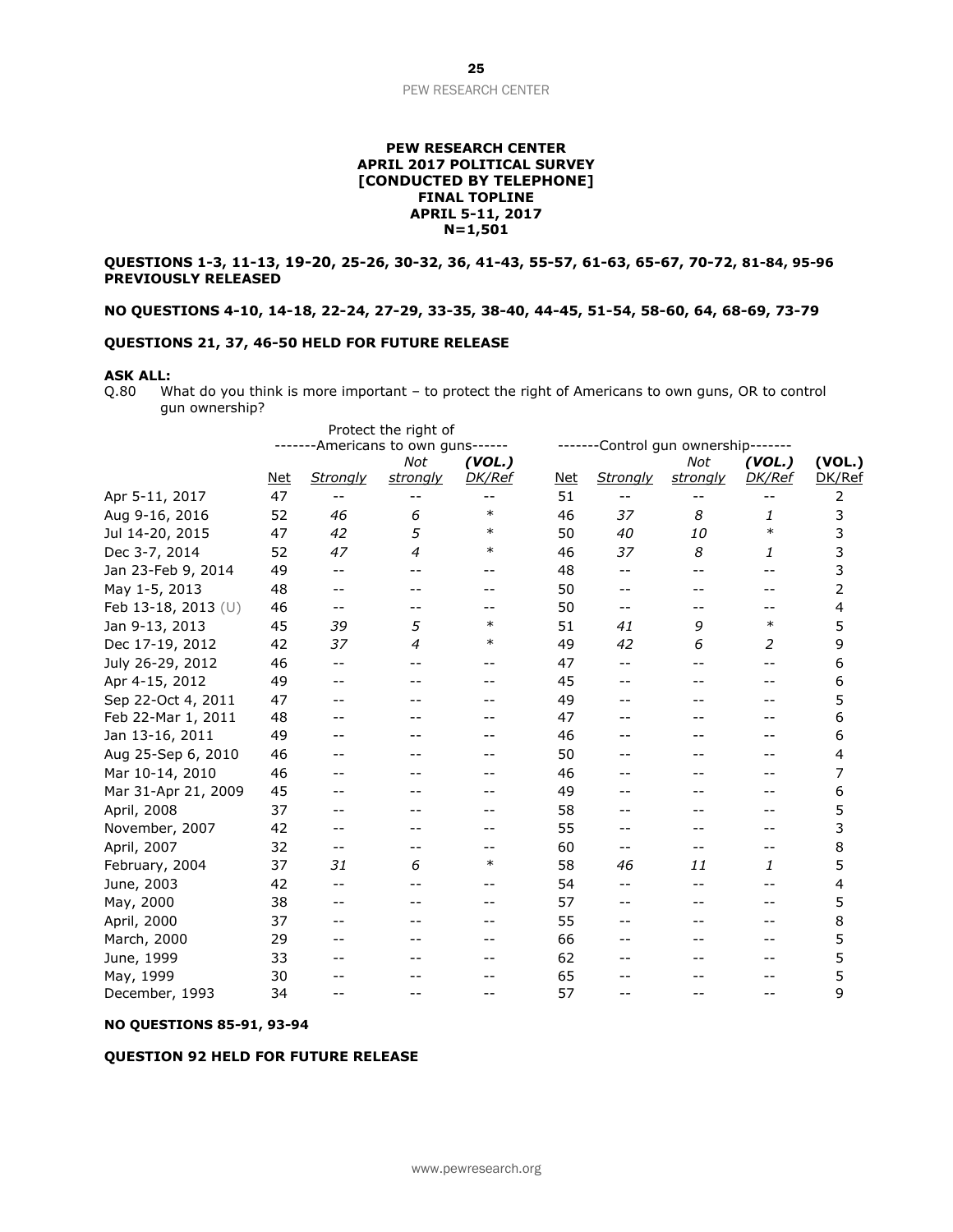#### **PEW RESEARCH CENTER APRIL 2017 POLITICAL SURVEY [CONDUCTED BY TELEPHONE] FINAL TOPLINE APRIL 5-11, 2017 N=1,501**

**QUESTIONS 1-3, 11-13, 19-20, 25-26, 30-32, 36, 41-43, 55-57, 61-63, 65-67, 70-72, 81-84, 95-96 PREVIOUSLY RELEASED**

**NO QUESTIONS 4-10, 14-18, 22-24, 27-29, 33-35, 38-40, 44-45, 51-54, 58-60, 64, 68-69, 73-79**

#### **QUESTIONS 21, 37, 46-50 HELD FOR FUTURE RELEASE**

#### **ASK ALL:**

Q.80 What do you think is more important – to protect the right of Americans to own guns, OR to control gun ownership?

|                     |            |                 | Protect the right of         |               |            |                 |                              |               |        |
|---------------------|------------|-----------------|------------------------------|---------------|------------|-----------------|------------------------------|---------------|--------|
|                     |            |                 | -Americans to own guns------ |               |            |                 | Control gun ownership------- |               |        |
|                     |            |                 | Not                          | (VOL.)        |            |                 | Not                          | (VOL.)        | (VOL.) |
|                     | <u>Net</u> | <b>Strongly</b> | <b>strongly</b>              | <b>DK/Ref</b> | <u>Net</u> | <b>Strongly</b> | <u>strongly</u>              | <b>DK/Ref</b> | DK/Ref |
| Apr 5-11, 2017      | 47         |                 |                              | --            | 51         |                 | --                           |               | 2      |
| Aug 9-16, 2016      | 52         | 46              | 6                            | $\ast$        | 46         | 37              | 8                            | 1             | 3      |
| Jul 14-20, 2015     | 47         | 42              | 5                            | $\ast$        | 50         | 40              | 10                           | $\ast$        | 3      |
| Dec 3-7, 2014       | 52         | 47              | 4                            | $\ast$        | 46         | 37              | 8                            | 1             | 3      |
| Jan 23-Feb 9, 2014  | 49         | $-$             |                              |               | 48         | $-1$            | $-1$                         | --            | 3      |
| May 1-5, 2013       | 48         |                 |                              |               | 50         |                 |                              |               | 2      |
| Feb 13-18, 2013 (U) | 46         | $-$             |                              |               | 50         | $- -$           |                              |               | 4      |
| Jan 9-13, 2013      | 45         | 39              | 5                            | $\ast$        | 51         | 41              | 9                            | $\ast$        | 5      |
| Dec 17-19, 2012     | 42         | 37              | 4                            | ∗             | 49         | 42              | 6                            | 2             | 9      |
| July 26-29, 2012    | 46         | $-$             |                              |               | 47         | $-1$            | $-$                          | $-$           | 6      |
| Apr 4-15, 2012      | 49         |                 |                              |               | 45         |                 |                              |               | 6      |
| Sep 22-Oct 4, 2011  | 47         |                 |                              |               | 49         |                 |                              |               | 5      |
| Feb 22-Mar 1, 2011  | 48         |                 |                              |               | 47         |                 |                              |               | 6      |
| Jan 13-16, 2011     | 49         |                 |                              |               | 46         |                 |                              |               | 6      |
| Aug 25-Sep 6, 2010  | 46         |                 |                              |               | 50         |                 |                              |               | 4      |
| Mar 10-14, 2010     | 46         |                 |                              |               | 46         |                 |                              |               | 7      |
| Mar 31-Apr 21, 2009 | 45         |                 |                              |               | 49         |                 |                              |               | 6      |
| April, 2008         | 37         |                 |                              |               | 58         |                 |                              |               | 5      |
| November, 2007      | 42         |                 |                              |               | 55         |                 |                              |               | 3      |
| April, 2007         | 32         | $-$             |                              |               | 60         | $-$             | --                           | $-1$          | 8      |
| February, 2004      | 37         | 31              | 6                            | $\ast$        | 58         | 46              | 11                           | 1             | 5      |
| June, 2003          | 42         | $-$             |                              |               | 54         | $-1$            | $-$                          | $-1$          | 4      |
| May, 2000           | 38         | $-1$            |                              |               | 57         | --              |                              |               | 5      |
| April, 2000         | 37         |                 |                              |               | 55         |                 |                              |               | 8      |
| March, 2000         | 29         |                 |                              |               | 66         |                 |                              |               | 5      |
| June, 1999          | 33         |                 |                              |               | 62         |                 |                              |               | 5      |
| May, 1999           | 30         |                 |                              |               | 65         |                 |                              |               | 5      |
| December, 1993      | 34         | $-$             |                              |               | 57         |                 |                              | --            | 9      |

#### **NO QUESTIONS 85-91, 93-94**

#### **QUESTION 92 HELD FOR FUTURE RELEASE**